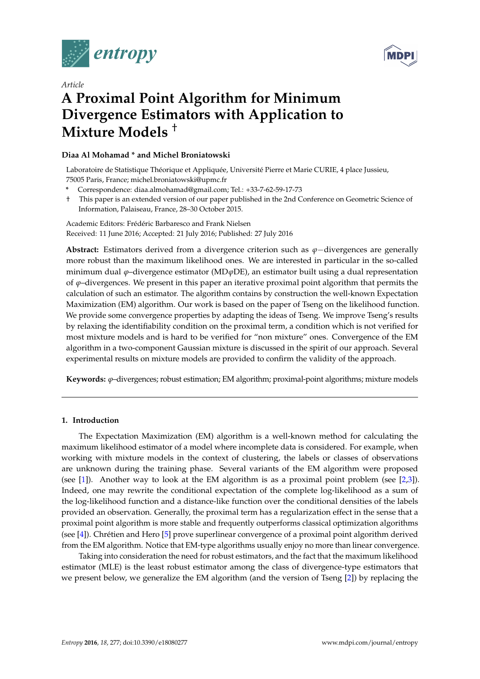



# *Article* **A Proximal Point Algorithm for Minimum Divergence Estimators with Application to Mixture Models** †

# **Diaa Al Mohamad \* and Michel Broniatowski**

Laboratoire de Statistique Théorique et Appliquée, Université Pierre et Marie CURIE, 4 place Jussieu, 75005 Paris, France; michel.broniatowski@upmc.fr

- **\*** Correspondence: diaa.almohamad@gmail.com; Tel.: +33-7-62-59-17-73
- † This paper is an extended version of our paper published in the 2nd Conference on Geometric Science of Information, Palaiseau, France, 28–30 October 2015.

Academic Editors: Frédéric Barbaresco and Frank Nielsen Received: 11 June 2016; Accepted: 21 July 2016; Published: 27 July 2016

**Abstract:** Estimators derived from a divergence criterion such as *ϕ*−divergences are generally more robust than the maximum likelihood ones. We are interested in particular in the so-called minimum dual *ϕ*–divergence estimator (MD*ϕ*DE), an estimator built using a dual representation of  $\varphi$ –divergences. We present in this paper an iterative proximal point algorithm that permits the calculation of such an estimator. The algorithm contains by construction the well-known Expectation Maximization (EM) algorithm. Our work is based on the paper of Tseng on the likelihood function. We provide some convergence properties by adapting the ideas of Tseng. We improve Tseng's results by relaxing the identifiability condition on the proximal term, a condition which is not verified for most mixture models and is hard to be verified for "non mixture" ones. Convergence of the EM algorithm in a two-component Gaussian mixture is discussed in the spirit of our approach. Several experimental results on mixture models are provided to confirm the validity of the approach.

**Keywords:** *ϕ*–divergences; robust estimation; EM algorithm; proximal-point algorithms; mixture models

# **1. Introduction**

The Expectation Maximization (EM) algorithm is a well-known method for calculating the maximum likelihood estimator of a model where incomplete data is considered. For example, when working with mixture models in the context of clustering, the labels or classes of observations are unknown during the training phase. Several variants of the EM algorithm were proposed (see [\[1\]](#page-16-0)). Another way to look at the EM algorithm is as a proximal point problem (see  $[2,3]$  $[2,3]$ ). Indeed, one may rewrite the conditional expectation of the complete log-likelihood as a sum of the log-likelihood function and a distance-like function over the conditional densities of the labels provided an observation. Generally, the proximal term has a regularization effect in the sense that a proximal point algorithm is more stable and frequently outperforms classical optimization algorithms (see [\[4\]](#page-16-3)). Chrétien and Hero [\[5\]](#page-17-0) prove superlinear convergence of a proximal point algorithm derived from the EM algorithm. Notice that EM-type algorithms usually enjoy no more than linear convergence.

Taking into consideration the need for robust estimators, and the fact that the maximum likelihood estimator (MLE) is the least robust estimator among the class of divergence-type estimators that we present below, we generalize the EM algorithm (and the version of Tseng [\[2\]](#page-16-1)) by replacing the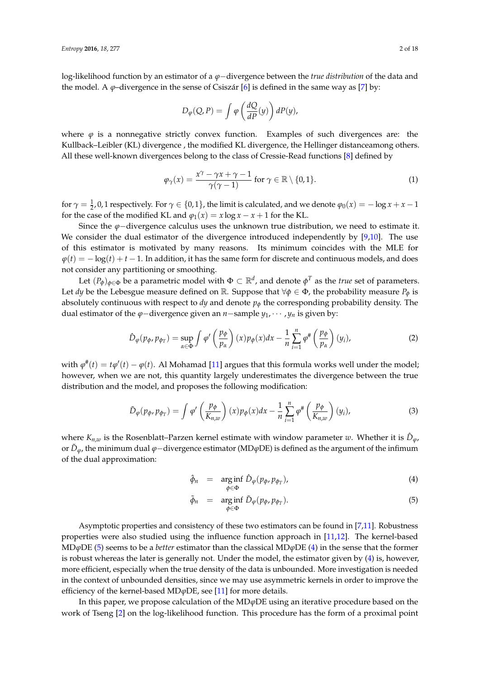log-likelihood function by an estimator of a *ϕ*−divergence between the *true distribution* of the data and the model. A  $\varphi$ –divergence in the sense of Csiszár [\[6\]](#page-17-1) is defined in the same way as [\[7\]](#page-17-2) by:

$$
D_{\varphi}(Q, P) = \int \varphi\left(\frac{dQ}{dP}(y)\right) dP(y),
$$

where  $\varphi$  is a nonnegative strictly convex function. Examples of such divergences are: the Kullback–Leibler (KL) divergence , the modified KL divergence, the Hellinger distanceamong others. All these well-known divergences belong to the class of Cressie-Read functions [\[8\]](#page-17-3) defined by

<span id="page-1-3"></span>
$$
\varphi_{\gamma}(x) = \frac{x^{\gamma} - \gamma x + \gamma - 1}{\gamma(\gamma - 1)} \text{ for } \gamma \in \mathbb{R} \setminus \{0, 1\}. \tag{1}
$$

for  $\gamma = \frac{1}{2}$ , 0, 1 respectively. For  $\gamma \in \{0,1\}$ , the limit is calculated, and we denote  $\varphi_0(x) = -\log x + x - 1$ for the case of the modified KL and  $\varphi_1(x) = x \log x - x + 1$  for the KL.

Since the *ϕ*−divergence calculus uses the unknown true distribution, we need to estimate it. We consider the dual estimator of the divergence introduced independently by [\[9](#page-17-4)[,10\]](#page-17-5). The use of this estimator is motivated by many reasons. Its minimum coincides with the MLE for  $\varphi(t) = -\log(t) + t - 1$ . In addition, it has the same form for discrete and continuous models, and does not consider any partitioning or smoothing.

Let  $(P_{\phi})_{\phi \in \Phi}$  be a parametric model with  $\Phi \subset \mathbb{R}^d$ , and denote  $\phi^T$  as the *true* set of parameters. Let *dy* be the Lebesgue measure defined on R. Suppose that  $\forall \phi \in \Phi$ , the probability measure  $P_{\phi}$  is absolutely continuous with respect to  $dy$  and denote  $p_{\phi}$  the corresponding probability density. The dual estimator of the  $\varphi$ −divergence given an *n*−sample  $y_1$ , · · · ,  $y_n$  is given by:

<span id="page-1-1"></span>
$$
\hat{D}_{\varphi}(p_{\phi}, p_{\phi_T}) = \sup_{\alpha \in \Phi} \int \varphi' \left(\frac{p_{\phi}}{p_{\alpha}}\right)(x) p_{\phi}(x) dx - \frac{1}{n} \sum_{i=1}^{n} \varphi^* \left(\frac{p_{\phi}}{p_{\alpha}}\right)(y_i), \tag{2}
$$

with  $\varphi^{\#}(t) = t\varphi'(t) - \varphi(t)$ . Al Mohamad [\[11\]](#page-17-6) argues that this formula works well under the model; however, when we are not, this quantity largely underestimates the divergence between the true distribution and the model, and proposes the following modification:

<span id="page-1-2"></span>
$$
\tilde{D}_{\varphi}(p_{\varphi}, p_{\varphi_T}) = \int \varphi' \left(\frac{p_{\varphi}}{K_{n,w}}\right)(x) p_{\varphi}(x) dx - \frac{1}{n} \sum_{i=1}^n \varphi^* \left(\frac{p_{\varphi}}{K_{n,w}}\right)(y_i), \tag{3}
$$

where  $K_{n,w}$  is the Rosenblatt–Parzen kernel estimate with window parameter *w*. Whether it is  $\hat{D}_{\varphi}$ , or *D*˜ *<sup>ϕ</sup>*, the minimum dual *ϕ*−divergence estimator (MD*ϕ*DE) is defined as the argument of the infimum of the dual approximation:

<span id="page-1-0"></span>
$$
\hat{\phi}_n = \underset{\phi \in \Phi}{\arg \inf} \hat{D}_{\phi}(p_{\phi}, p_{\phi_T}), \tag{4}
$$

$$
\tilde{\phi}_n = \underset{\phi \in \Phi}{\arg \inf} \tilde{D}_{\phi}(p_{\phi}, p_{\phi_T}). \tag{5}
$$

Asymptotic properties and consistency of these two estimators can be found in [\[7](#page-17-2)[,11\]](#page-17-6). Robustness properties were also studied using the influence function approach in [\[11](#page-17-6)[,12\]](#page-17-7). The kernel-based MD*ϕ*DE [\(5\)](#page-1-0) seems to be a *better* estimator than the classical MD*ϕ*DE [\(4\)](#page-1-0) in the sense that the former is robust whereas the later is generally not. Under the model, the estimator given by [\(4\)](#page-1-0) is, however, more efficient, especially when the true density of the data is unbounded. More investigation is needed in the context of unbounded densities, since we may use asymmetric kernels in order to improve the efficiency of the kernel-based MD*ϕ*DE, see [\[11\]](#page-17-6) for more details.

In this paper, we propose calculation of the MD*ϕ*DE using an iterative procedure based on the work of Tseng [\[2\]](#page-16-1) on the log-likelihood function. This procedure has the form of a proximal point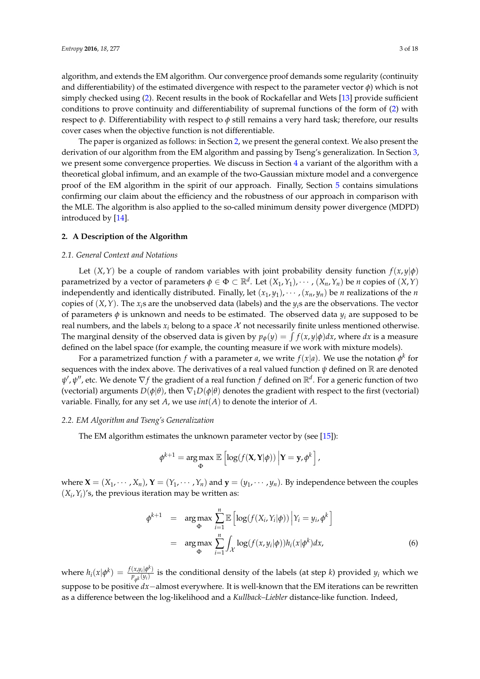algorithm, and extends the EM algorithm. Our convergence proof demands some regularity (continuity and differentiability) of the estimated divergence with respect to the parameter vector *φ*) which is not simply checked using [\(2\)](#page-1-1). Recent results in the book of Rockafellar and Wets [\[13\]](#page-17-8) provide sufficient conditions to prove continuity and differentiability of supremal functions of the form of [\(2\)](#page-1-1) with respect to *φ*. Differentiability with respect to *φ* still remains a very hard task; therefore, our results cover cases when the objective function is not differentiable.

The paper is organized as follows: in Section [2,](#page-2-0) we present the general context. We also present the derivation of our algorithm from the EM algorithm and passing by Tseng's generalization. In Section [3,](#page-4-0) we present some convergence properties. We discuss in Section [4](#page-9-0) a variant of the algorithm with a theoretical global infimum, and an example of the two-Gaussian mixture model and a convergence proof of the EM algorithm in the spirit of our approach. Finally, Section [5](#page-13-0) contains simulations confirming our claim about the efficiency and the robustness of our approach in comparison with the MLE. The algorithm is also applied to the so-called minimum density power divergence (MDPD) introduced by [\[14\]](#page-17-9).

# <span id="page-2-0"></span>**2. A Description of the Algorithm**

#### *2.1. General Context and Notations*

Let  $(X, Y)$  be a couple of random variables with joint probability density function  $f(x, y | \phi)$ parametrized by a vector of parameters  $\phi \in \Phi \subset \mathbb{R}^d$ . Let  $(X_1, Y_1), \cdots$  ,  $(X_n, Y_n)$  be *n* copies of  $(X, Y)$ independently and identically distributed. Finally, let  $(x_1, y_1), \cdots, (x_n, y_n)$  be *n* realizations of the *n* copies of  $(X, Y)$ . The  $x_i$ <sup>s</sup> are the unobserved data (labels) and the  $y_i$ <sup>s</sup> are the observations. The vector of parameters  $\phi$  is unknown and needs to be estimated. The observed data  $y_i$  are supposed to be real numbers, and the labels  $x_i$  belong to a space  $\mathcal X$  not necessarily finite unless mentioned otherwise. The marginal density of the observed data is given by  $p_{\phi}(y) = \int f(x, y | \phi) dx$ , where *dx* is a measure defined on the label space (for example, the counting measure if we work with mixture models).

For a parametrized function  $f$  with a parameter  $a$ , we write  $f(x|a)$ . We use the notation  $\phi^k$  for sequences with the index above. The derivatives of a real valued function  $\psi$  defined on  $\mathbb R$  are denoted *ψ',ψ'',* etc. We denote ∇*f* the gradient of a real function *f* defined on ℝ<sup>d</sup>. For a generic function of two (vectorial) arguments  $D(\phi|\theta)$ , then  $\nabla_1 D(\phi|\theta)$  denotes the gradient with respect to the first (vectorial) variable. Finally, for any set *A*, we use *int*(*A*) to denote the interior of *A*.

#### *2.2. EM Algorithm and Tseng's Generalization*

The EM algorithm estimates the unknown parameter vector by (see [\[15\]](#page-17-10)):

$$
\phi^{k+1} = \arg \max_{\Phi} \mathbb{E} \left[ \log(f(\mathbf{X}, \mathbf{Y} | \phi)) \Big| \mathbf{Y} = \mathbf{y}, \phi^k \right],
$$

where  $\mathbf{X} = (X_1, \dots, X_n)$ ,  $\mathbf{Y} = (Y_1, \dots, Y_n)$  and  $\mathbf{y} = (y_1, \dots, y_n)$ . By independence between the couples  $(X_i, Y_i)'$ s, the previous iteration may be written as:

$$
\phi^{k+1} = \underset{\Phi}{\arg \max} \sum_{i=1}^{n} \mathbb{E} \left[ \log(f(X_i, Y_i | \phi)) \Big| Y_i = y_i, \phi^k \right]
$$

$$
= \underset{\Phi}{\arg \max} \sum_{i=1}^{n} \int_{\mathcal{X}} \log(f(x, y_i | \phi)) h_i(x | \phi^k) dx, \tag{6}
$$

where  $h_i(x|\phi^k) = \frac{f(x,y_i|\phi^k)}{p_k(y_i)}$  $p_{\phi^k}(y_i)$  is the conditional density of the labels (at step *k*) provided  $y_i$  which we suppose to be positive *dx*−almost everywhere. It is well-known that the EM iterations can be rewritten as a difference between the log-likelihood and a *Kullback–Liebler* distance-like function. Indeed,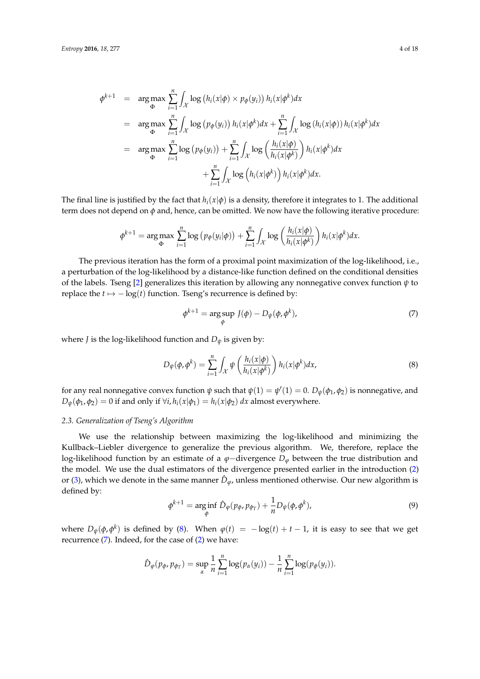$$
\phi^{k+1} = \underset{\Phi}{\arg \max} \sum_{i=1}^{n} \int_{\mathcal{X}} \log (h_i(x|\phi) \times p_{\phi}(y_i)) h_i(x|\phi^k) dx
$$
  
\n
$$
= \underset{\Phi}{\arg \max} \sum_{i=1}^{n} \int_{\mathcal{X}} \log (p_{\phi}(y_i)) h_i(x|\phi^k) dx + \sum_{i=1}^{n} \int_{\mathcal{X}} \log (h_i(x|\phi)) h_i(x|\phi^k) dx
$$
  
\n
$$
= \underset{\Phi}{\arg \max} \sum_{i=1}^{n} \log (p_{\phi}(y_i)) + \sum_{i=1}^{n} \int_{\mathcal{X}} \log \left( \frac{h_i(x|\phi)}{h_i(x|\phi^k)} \right) h_i(x|\phi^k) dx
$$
  
\n
$$
+ \sum_{i=1}^{n} \int_{\mathcal{X}} \log (h_i(x|\phi^k)) h_i(x|\phi^k) dx.
$$

The final line is justified by the fact that  $h_i(x|\phi)$  is a density, therefore it integrates to 1. The additional term does not depend on *φ* and, hence, can be omitted. We now have the following iterative procedure:

$$
\phi^{k+1} = \arg \max_{\Phi} \sum_{i=1}^n \log (p_{\phi}(y_i|\phi)) + \sum_{i=1}^n \int_{\mathcal{X}} \log \left( \frac{h_i(x|\phi)}{h_i(x|\phi^k)} \right) h_i(x|\phi^k) dx.
$$

The previous iteration has the form of a proximal point maximization of the log-likelihood, i.e., a perturbation of the log-likelihood by a distance-like function defined on the conditional densities of the labels. Tseng [\[2\]](#page-16-1) generalizes this iteration by allowing any nonnegative convex function *ψ* to replace the  $t \mapsto -\log(t)$  function. Tseng's recurrence is defined by:

<span id="page-3-1"></span>
$$
\phi^{k+1} = \underset{\phi}{\arg \sup} \ J(\phi) - D_{\psi}(\phi, \phi^k), \tag{7}
$$

where *J* is the log-likelihood function and  $D_{\psi}$  is given by:

<span id="page-3-0"></span>
$$
D_{\psi}(\phi, \phi^{k}) = \sum_{i=1}^{n} \int_{\mathcal{X}} \psi\left(\frac{h_{i}(x|\phi)}{h_{i}(x|\phi^{k})}\right) h_{i}(x|\phi^{k}) dx, \tag{8}
$$

for any real nonnegative convex function  $\psi$  such that  $\psi(1) = \psi'(1) = 0$ .  $D_{\psi}(\phi_1, \phi_2)$  is nonnegative, and  $D_{\psi}(\phi_1, \phi_2) = 0$  if and only if  $\forall i, h_i(x|\phi_1) = h_i(x|\phi_2) dx$  almost everywhere.

#### <span id="page-3-2"></span>*2.3. Generalization of Tseng's Algorithm*

We use the relationship between maximizing the log-likelihood and minimizing the Kullback–Liebler divergence to generalize the previous algorithm. We, therefore, replace the log-likelihood function by an estimate of a *ϕ*−divergence *D<sup>ϕ</sup>* between the true distribution and the model. We use the dual estimators of the divergence presented earlier in the introduction [\(2\)](#page-1-1) or [\(3\)](#page-1-2), which we denote in the same manner  $\hat{D}_{\varphi}$ , unless mentioned otherwise. Our new algorithm is defined by:

$$
\phi^{k+1} = \underset{\phi}{\arg\inf} \ \hat{D}_{\varphi}(p_{\phi}, p_{\phi_T}) + \frac{1}{n} D_{\psi}(\phi, \phi^k), \tag{9}
$$

where  $D_{\psi}(\phi, \phi^k)$  is defined by [\(8\)](#page-3-0). When  $\phi(t) = -\log(t) + t - 1$ , it is easy to see that we get recurrence [\(7\)](#page-3-1). Indeed, for the case of [\(2\)](#page-1-1) we have:

$$
\hat{D}_{\varphi}(p_{\varphi},p_{\varphi_T}) = \sup_{\alpha} \frac{1}{n} \sum_{i=1}^n \log(p_{\alpha}(y_i)) - \frac{1}{n} \sum_{i=1}^n \log(p_{\varphi}(y_i)).
$$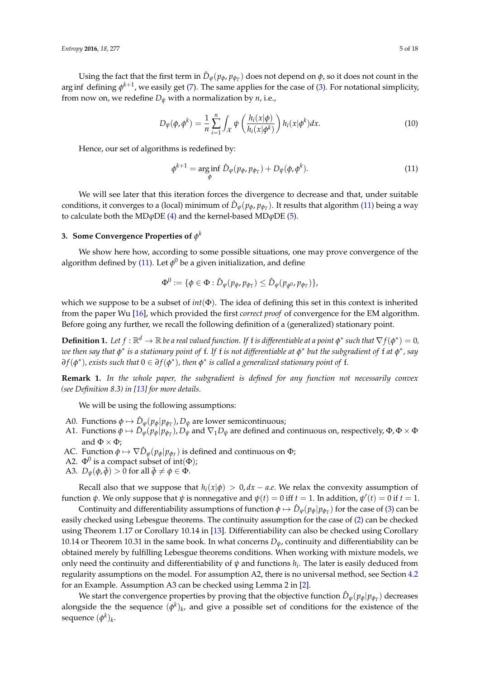Using the fact that the first term in  $\hat{D}_{\varphi}(p_{\phi}, p_{\phi_T})$  does not depend on  $\phi$ , so it does not count in the arg inf defining  $\phi^{k+1}$ , we easily get [\(7\)](#page-3-1). The same applies for the case of [\(3\)](#page-1-2). For notational simplicity, from now on, we redefine  $D_{\psi}$  with a normalization by *n*, i.e.,

<span id="page-4-2"></span>
$$
D_{\psi}(\phi, \phi^k) = \frac{1}{n} \sum_{i=1}^n \int_{\mathcal{X}} \psi\left(\frac{h_i(x|\phi)}{h_i(x|\phi^k)}\right) h_i(x|\phi^k) dx. \tag{10}
$$

Hence, our set of algorithms is redefined by:

<span id="page-4-1"></span>
$$
\phi^{k+1} = \underset{\phi}{\arg\inf} \ \hat{D}_{\varphi}(p_{\phi}, p_{\phi_T}) + D_{\psi}(\phi, \phi^k). \tag{11}
$$

We will see later that this iteration forces the divergence to decrease and that, under suitable conditions, it converges to a (local) minimum of  $\hat{D}_{\phi}(p_{\phi}, p_{\phi_T})$ . It results that algorithm [\(11\)](#page-4-1) being a way to calculate both the MD*ϕ*DE [\(4\)](#page-1-0) and the kernel-based MD*ϕ*DE [\(5\)](#page-1-0).

# <span id="page-4-0"></span>**3. Some Convergence Properties of** *φ k*

We show here how, according to some possible situations, one may prove convergence of the algorithm defined by [\(11\)](#page-4-1). Let  $\phi^0$  be a given initialization, and define

$$
\Phi^0:=\{\phi\in\Phi:\hat D_\varphi(p_\phi,p_{\phi_T})\leq \hat D_\varphi(p_{\phi^0},p_{\phi_T})\},
$$

which we suppose to be a subset of *int*(Φ). The idea of defining this set in this context is inherited from the paper Wu [\[16\]](#page-17-11), which provided the first *correct proof* of convergence for the EM algorithm. Before going any further, we recall the following definition of a (generalized) stationary point.

**Definition 1.** Let  $f : \mathbb{R}^d \to \mathbb{R}$  be a real valued function. If f is differentiable at a point  $\phi^*$  such that  $\nabla f(\phi^*) = 0$ , *we then say that φ* ∗ *is a stationary point of* f*. If* f *is not differentiable at φ* ∗ *but the subgradient of* f *at φ* ∗ *, say ∂ f*(*φ* ∗ )*, exists such that* 0 ∈ *∂ f*(*φ* ∗ )*, then φ* ∗ *is called a generalized stationary point of* f*.*

**Remark 1.** *In the whole paper, the subgradient is defined for any function not necessarily convex (see Definition 8.3) in [\[13\]](#page-17-8) for more details.*

We will be using the following assumptions:

- A0. Functions  $\phi \mapsto \hat{D}_{\phi}(p_{\phi}|p_{\phi})$ ,  $D_{\psi}$  are lower semicontinuous;
- A1. Functions  $\phi \mapsto \hat{D}_{\phi}(p_{\phi}|p_{\phi_T})$ ,  $D_{\psi}$  and  $\nabla_1 D_{\psi}$  are defined and continuous on, respectively,  $\Phi$ ,  $\Phi \times \Phi$ and  $\Phi \times \Phi$ ;
- AC. Function  $\phi \mapsto \nabla \hat{D}_{\phi}(p_{\phi}|p_{\phi})$  is defined and continuous on  $\Phi$ ;
- A2.  $\Phi^0$  is a compact subset of int( $\Phi$ );
- A3.  $D_{\psi}(\phi, \bar{\phi}) > 0$  for all  $\bar{\phi} \neq \phi \in \Phi$ .

Recall also that we suppose that  $h_i(x|\phi) > 0$ ,  $dx - a.e$ . We relax the convexity assumption of function  $\psi$ . We only suppose that  $\psi$  is nonnegative and  $\psi(t) = 0$  iff  $t = 1$ . In addition,  $\psi'(t) = 0$  if  $t = 1$ .

Continuity and differentiability assumptions of function  $\phi \mapsto \hat{D}_{\phi}(p_{\phi}|p_{\phi_T})$  for the case of [\(3\)](#page-1-2) can be easily checked using Lebesgue theorems. The continuity assumption for the case of [\(2\)](#page-1-1) can be checked using Theorem 1.17 or Corollary 10.14 in [\[13\]](#page-17-8). Differentiability can also be checked using Corollary 10.14 or Theorem 10.31 in the same book. In what concerns  $D_{\psi}$ , continuity and differentiability can be obtained merely by fulfilling Lebesgue theorems conditions. When working with mixture models, we only need the continuity and differentiability of  $\psi$  and functions  $h_i$ . The later is easily deduced from regularity assumptions on the model. For assumption A2, there is no universal method, see Section [4.2](#page-10-0) for an Example. Assumption A3 can be checked using Lemma 2 in [\[2\]](#page-16-1).

We start the convergence properties by proving that the objective function  $\hat{D}_{\varphi}(p_{\phi}|p_{\phi_T})$  decreases alongside the the sequence  $(\phi^k)_k$ , and give a possible set of conditions for the existence of the sequence  $(\phi^k)_k$ .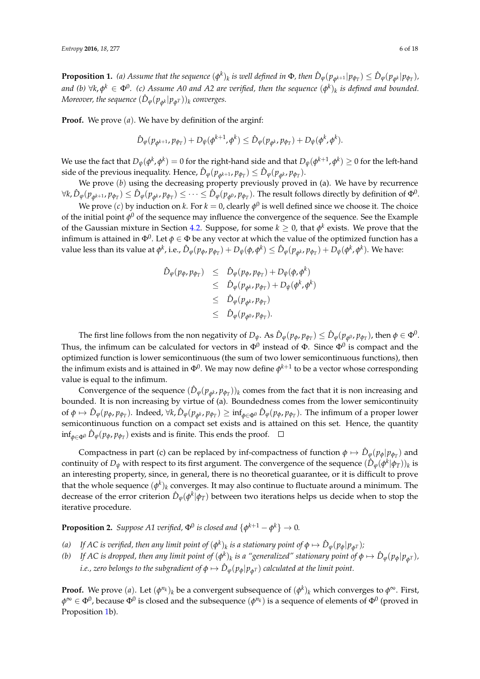<span id="page-5-0"></span>**Proposition 1.** (a) Assume that the sequence  $(\phi^k)_k$  is well defined in  $\Phi$ , then  $\hat{D}_{\phi}(p_{\phi^{k+1}}|p_{\phi_T}) \leq \hat{D}_{\phi}(p_{\phi^k}|p_{\phi_T})$ , and (b)  $\forall k, \phi^k \in \Phi^0$ . (c) Assume A0 and A2 are verified, then the sequence  $(\phi^k)_k$  is defined and bounded.  $M$ oreover, the sequence  $(\hat{D}_{\phi}(p_{\phi^k}|p_{\phi^T}))_k$  converges.

**Proof.** We prove (*a*). We have by definition of the arginf:

$$
\hat{D}_{\varphi}(p_{\phi^{k+1}},p_{\phi_T})+D_{\psi}(\phi^{k+1},\phi^k)\leq \hat{D}_{\varphi}(p_{\phi^k},p_{\phi_T})+D_{\psi}(\phi^k,\phi^k).
$$

We use the fact that  $D_\psi(\phi^k, \phi^k) = 0$  for the right-hand side and that  $D_\psi(\phi^{k+1}, \phi^k) \geq 0$  for the left-hand side of the previous inequality. Hence,  $\hat{D}_{\varphi}(p_{\phi^{k+1}}, p_{\phi_T}) \leq \hat{D}_{\varphi}(p_{\phi^k}, p_{\phi_T})$ .

We prove (*b*) using the decreasing property previously proved in (a). We have by recurrence  $\forall$ k,  $\hat{D}_{\varphi}(p_{\phi^{k+1}},p_{\phi_T})\leq \hat{D}_{\varphi}(p_{\phi^{k}},p_{\phi_T})\leq \cdots \leq \hat{D}_{\varphi}(p_{\phi^0},p_{\phi_T}).$  The result follows directly by definition of  $\Phi^0.$ 

We prove  $(c)$  by induction on  $k.$  For  $k=0$ , clearly  $\phi^0$  is well defined since we choose it. The choice of the initial point  $\phi^0$  of the sequence may influence the convergence of the sequence. See the Example of the Gaussian mixture in Section [4.2.](#page-10-0) Suppose, for some  $k \geq 0$ , that  $\phi^k$  exists. We prove that the infimum is attained in  $\Phi^0$ . Let  $\phi\in\Phi$  be any vector at which the value of the optimized function has a value less than its value at  $\phi^k$ , i.e.,  $\hat{D}_{\phi}(p_{\phi},p_{\phi_T})+D_{\psi}(\phi,\phi^k)\leq \hat{D}_{\phi}(p_{\phi^k},p_{\phi_T})+D_{\psi}(\phi^k,\phi^k).$  We have:

$$
\begin{array}{rcl}\n\hat{D}_{\varphi}(p_{\varphi},p_{\varphi_{T}}) & \leq & \hat{D}_{\varphi}(p_{\varphi},p_{\varphi_{T}}) + D_{\psi}(\varphi,\varphi^{k}) \\
& \leq & \hat{D}_{\varphi}(p_{\varphi^{k}},p_{\varphi_{T}}) + D_{\psi}(\varphi^{k},\varphi^{k}) \\
& \leq & \hat{D}_{\varphi}(p_{\varphi^{k}},p_{\varphi_{T}}) \\
& \leq & \hat{D}_{\varphi}(p_{\varphi^{0}},p_{\varphi_{T}}).\n\end{array}
$$

The first line follows from the non negativity of  $D_\psi$ . As  $\hat{D}_\phi(p_\phi, p_{\phi_T}) \leq \hat{D}_\phi(p_{\phi^0}, p_{\phi_T})$ , then  $\phi \in \Phi^0$ . Thus, the infimum can be calculated for vectors in  $\Phi^0$  instead of  $\Phi$ . Since  $\Phi^0$  is compact and the optimized function is lower semicontinuous (the sum of two lower semicontinuous functions), then the infimum exists and is attained in  $\Phi^0$ . We may now define  $\phi^{k+1}$  to be a vector whose corresponding value is equal to the infimum.

Convergence of the sequence  $(\hat{D}_{\varphi}(p_{\phi^k}, p_{\phi_T}))_k$  comes from the fact that it is non increasing and bounded. It is non increasing by virtue of (a). Boundedness comes from the lower semicontinuity of  $\phi \mapsto \hat{D}_{\phi}(p_{\phi},p_{\phi_T})$ . Indeed,  $\forall k,\hat{D}_{\phi}(p_{\phi^k},p_{\phi_T}) \geq \inf_{\phi \in \Phi^0} \hat{D}_{\phi}(p_{\phi},p_{\phi_T})$ . The infimum of a proper lower semicontinuous function on a compact set exists and is attained on this set. Hence, the quantity inf*φ*∈Φ<sup>0</sup> *<sup>D</sup>*<sup>ˆ</sup> *<sup>ϕ</sup>*(*pφ*, *pφ<sup>T</sup>* ) exists and is finite. This ends the proof.

Compactness in part (c) can be replaced by inf-compactness of function  $\phi \mapsto \hat{D}_{\phi}(p_{\phi}|p_{\phi_T})$  and continuity of  $D_\psi$  with respect to its first argument. The convergence of the sequence  $(\hat D_\varphi(\phi^k|\phi_T))_k$  is an interesting property, since, in general, there is no theoretical guarantee, or it is difficult to prove that the whole sequence  $(\phi^k)_k$  converges. It may also continue to fluctuate around a minimum. The decrease of the error criterion  $\hat{D}_{\phi}(\phi^k|\phi_T)$  between two iterations helps us decide when to stop the iterative procedure.

<span id="page-5-1"></span>**Proposition 2.** Suppose A1 verified,  $\Phi^0$  is closed and  $\{\phi^{k+1} - \phi^k\} \to 0$ .

- *(a)* If AC is verified, then any limit point of  $(\phi^k)_k$  is a stationary point of  $\phi \mapsto \hat{D}_\phi(p_\phi|p_{\phi^T})$ ;
- *(b)* If AC is dropped, then any limit point of  $(\phi^k)_k$  is a "generalized" stationary point of  $\phi \mapsto \hat{D}_{\phi}(p_{\phi}|p_{\phi^T})$ , *i.e., zero belongs to the subgradient of*  $\phi \mapsto \hat{D}_{\phi}(p_{\phi}|p_{\phi^T})$  *calculated at the limit point.*

**Proof.** We prove (*a*). Let  $(\phi^{n_k})_k$  be a convergent subsequence of  $(\phi^k)_k$  which converges to  $\phi^{\infty}$ . First,  $\phi^\infty\in\Phi^0$ , because  $\Phi^0$  is closed and the subsequence  $(\phi^{n_k})$  is a sequence of elements of  $\Phi^0$  (proved in Proposition [1b](#page-5-0)).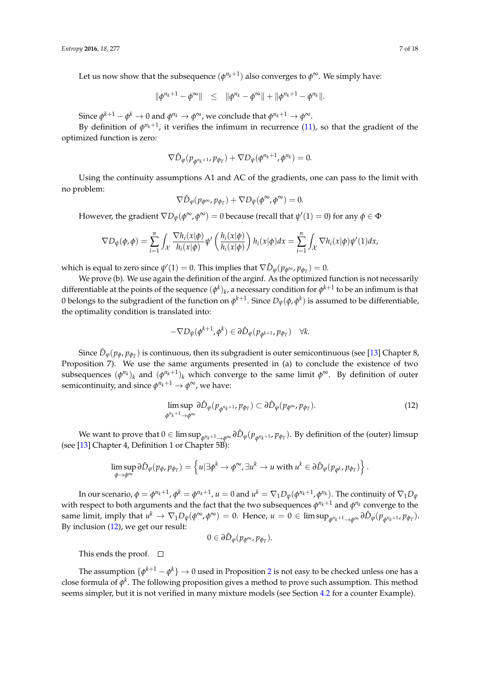Let us now show that the subsequence  $(\phi^{n_k+1})$  also converges to  $\phi^\infty.$  We simply have:

$$
\|\phi^{n_k+1}-\phi^{\infty}\|\leq \|\phi^{n_k}-\phi^{\infty}\|+\|\phi^{n_k+1}-\phi^{n_k}\|.
$$

Since  $\phi^{k+1} - \phi^k \to 0$  and  $\phi^{n_k} \to \phi^{\infty}$ , we conclude that  $\phi^{n_k+1} \to \phi^{\infty}$ .

By definition of  $\phi^{n_k+1}$ , it verifies the infimum in recurrence [\(11\)](#page-4-1), so that the gradient of the optimized function is zero:

$$
\nabla \hat{D}_{\varphi}(p_{\phi^{n_k+1}}, p_{\phi_T}) + \nabla D_{\psi}(\phi^{n_k+1}, \phi^{n_k}) = 0.
$$

Using the continuity assumptions A1 and AC of the gradients, one can pass to the limit with no problem:

$$
\nabla \hat{D}_{\varphi}(p_{\phi^{\infty}}, p_{\phi_T}) + \nabla D_{\psi}(\phi^{\infty}, \phi^{\infty}) = 0.
$$

However, the gradient  $\nabla D_{\psi}(\phi^{\infty}, \phi^{\infty}) = 0$  because (recall that  $\psi'(1) = 0$ ) for any  $\phi \in \Phi$ 

$$
\nabla D_{\psi}(\phi,\phi) = \sum_{i=1}^{n} \int_{\mathcal{X}} \frac{\nabla h_i(x|\phi)}{h_i(x|\phi)} \psi' \left( \frac{h_i(x|\phi)}{h_i(x|\phi)} \right) h_i(x|\phi) dx = \sum_{i=1}^{n} \int_{\mathcal{X}} \nabla h_i(x|\phi) \psi'(1) dx,
$$

which is equal to zero since  $\psi'(1) = 0$ . This implies that  $\nabla \hat{D}_{\varphi}(p_{\phi^{\infty}}, p_{\phi^T}) = 0$ .

We prove (b). We use again the definition of the arginf. As the optimized function is not necessarily differentiable at the points of the sequence  $(\phi^k)_k$ , a necessary condition for  $\phi^{k+1}$  to be an infimum is that 0 belongs to the subgradient of the function on  $\phi^{k+1}$ . Since  $D_\psi(\phi,\phi^k)$  is assumed to be differentiable, the optimality condition is translated into:

$$
-\nabla D_{\psi}(\phi^{k+1}, \phi^k) \in \partial \hat{D}_{\varphi}(p_{\phi^{k+1}}, p_{\phi_T}) \quad \forall k.
$$

Since  $\hat{D}_{\varphi}(p_{\phi},p_{\phi_T})$  is continuous, then its subgradient is outer semicontinuous (see [\[13\]](#page-17-8) Chapter 8, Proposition 7). We use the same arguments presented in (a) to conclude the existence of two subsequences  $(\phi^{n_k})_k$  and  $(\phi^{n_k+1})_k$  which converge to the same limit  $\phi^\infty$ . By definition of outer  $\mathsf{semicontinuity}$ , and  $\mathsf{since}\ \phi^{n_k+1}\to \phi^{\infty}$ , we have:

<span id="page-6-0"></span>
$$
\limsup_{\phi^{n_k+1}\to\phi^{\infty}} \partial \hat{D}_{\varphi}(p_{\phi^{n_k+1}}, p_{\phi_T}) \subset \partial \hat{D}_{\varphi}(p_{\phi^{\infty}}, p_{\phi_T}). \tag{12}
$$

We want to prove that  $0\in\limsup_{\phi^{n_k+1}\to\phi^\infty}\partial\hat{D}_\phi(p_{\phi^{n_k+1}},p_{\phi_T}).$  By definition of the (outer) limsup (see [\[13\]](#page-17-8) Chapter 4, Definition 1 or Chapter 5B):

$$
\limsup_{\phi \to \phi^{\infty}} \partial \hat{D}_{\phi}(p_{\phi}, p_{\phi_{T}}) = \left\{ u | \exists \phi^{k} \to \phi^{\infty}, \exists u^{k} \to u \text{ with } u^{k} \in \partial \hat{D}_{\phi}(p_{\phi^{k}}, p_{\phi_{T}}) \right\}.
$$

In our scenario,  $\phi=\phi^{n_k+1}$ ,  $\phi^k=\phi^{n_k+1}$ ,  $u=0$  and  $u^k=\nabla_1 D_\psi(\phi^{n_k+1},\phi^{n_k}).$  The continuity of  $\nabla_1 D_\psi$ with respect to both arguments and the fact that the two subsequences  $\phi^{n_k+1}$  and  $\phi^{n_k}$  converge to the same limit, imply that  $u^k \to \nabla_1 D_\psi(\phi^\infty, \phi^\infty) = 0$ . Hence,  $u = 0 \in \limsup_{\phi^{n_k+1} \to \phi^\infty} \partial \hat{D}_\phi(p_{\phi^{n_k+1}}, p_{\phi_T}).$ By inclusion [\(12\)](#page-6-0), we get our result:

$$
0\in\partial\hat{D}_{\varphi}(p_{\phi^{\infty}},p_{\phi_T}).
$$

This ends the proof.  $\square$ 

The assumption  $\{\phi^{k+1} - \phi^k\} \to 0$  used in Proposition [2](#page-5-1) is not easy to be checked unless one has a close formula of *φ k* . The following proposition gives a method to prove such assumption. This method seems simpler, but it is not verified in many mixture models (see Section [4.2](#page-10-0) for a counter Example).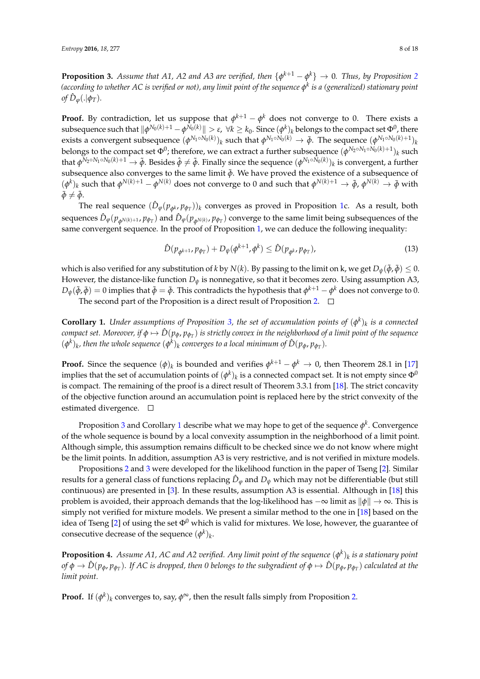<span id="page-7-0"></span>**Proposition 3.** Assume that A1, A[2](#page-5-1) and A3 are verified, then  $\{\phi^{k+1} - \phi^k\} \to 0$ . Thus, by Proposition 2 *(according to whether AC is verified or not), any limit point of the sequence φ k is a (generalized) stationary point*  $\partial f \, \hat{D}_{\varphi}(.|\phi_T)$ .

**Proof.** By contradiction, let us suppose that  $\phi^{k+1} - \phi^k$  does not converge to 0. There exists a  $s$ ubsequence such that  $\|\phi^{N_0(k)+1}-\phi^{N_0(k)}\|>\varepsilon,~\forall k\geq k_0.$  Since  $(\phi^k)_k$  belongs to the compact set  $\Phi^0$ , there exists a convergent subsequence  $(\phi^{N_1\circ N_0(k)})_k$  such that  $\phi^{N_1\circ N_0(k)}\to \bar\phi$ . The sequence  $(\phi^{N_1\circ N_0(k)+1})_k$ belongs to the compact set  $\Phi^0$ ; therefore, we can extract a further subsequence  $(\phi^{N_2 \circ N_1 \circ N_0(k)+1})_k$  such that  $\phi^{N_2 \circ N_1 \circ N_0(k)+1} \to \tilde{\phi}$ . Besides  $\hat{\phi} \neq \tilde{\phi}$ . Finally since the sequence  $(\phi^{N_1 \circ N_0(k)})_k$  is convergent, a further subsequence also converges to the same limit  $\bar{\phi}$ . We have proved the existence of a subsequence of  $(\phi^k)_k$  such that  $\phi^{N(k)+1} - \phi^{N(k)}$  does not converge to 0 and such that  $\phi^{N(k)+1} \to \tilde{\phi}$ ,  $\phi^{N(k)} \to \bar{\phi}$  with  $\bar{\phi} \neq \tilde{\phi}$ .

The real sequence  $(\hat{D}_{\varphi}(p_{\phi^k}, p_{\phi_T}))_k$  converges as proved in Proposition [1c](#page-5-0). As a result, both sequences  $\hat{D}_\varphi(p_{\phi^{N(k)+1}},p_{\phi_T})$  and  $\hat{D}_\varphi(p_{\phi^{N(k)}},p_{\phi_T})$  converge to the same limit being subsequences of the same convergent sequence. In the proof of Proposition [1,](#page-5-0) we can deduce the following inequality:

<span id="page-7-2"></span>
$$
\hat{D}(p_{\phi^{k+1}}, p_{\phi_T}) + D_{\psi}(\phi^{k+1}, \phi^k) \leq \hat{D}(p_{\phi^k}, p_{\phi_T}), \tag{13}
$$

which is also verified for any substitution of *k* by *N*(*k*). By passing to the limit on *k*, we get  $D_{\psi}(\tilde{\phi}, \bar{\phi}) \leq 0$ . However, the distance-like function *D<sup>ψ</sup>* is nonnegative, so that it becomes zero. Using assumption A3,  $D_\psi(\tilde{\phi},\bar{\phi})=0$  implies that  $\tilde{\phi}=\bar{\phi}$ . This contradicts the hypothesis that  $\phi^{k+1}-\phi^k$  does not converge to 0. The second part of the Proposition is a direct result of Proposition [2.](#page-5-1)  $\Box$ 

<span id="page-7-1"></span>**Corollary 1.** *Under assumptions of Proposition [3,](#page-7-0) the set of accumulation points of*  $(\phi^k)_k$  *is a connected*  $\epsilon$ ompact set. Moreover, if  $\phi\mapsto\hat{D}(p_\phi,p_{\phi_T})$  is strictly convex in the neighborhood of a limit point of the sequence  $(\phi^k)_k$ , then the whole sequence  $(\phi^k)_k$  converges to a local minimum of  $\hat{D}(p_\phi, p_{\phi_T}).$ 

**Proof.** Since the sequence  $(\phi)_k$  is bounded and verifies  $\phi^{k+1} - \phi^k \to 0$ , then Theorem 28.1 in [\[17\]](#page-17-12) implies that the set of accumulation points of  $(\phi^k)_k$  is a connected compact set. It is not empty since  $\Phi^0$ is compact. The remaining of the proof is a direct result of Theorem 3.3.1 from [\[18\]](#page-17-13). The strict concavity of the objective function around an accumulation point is replaced here by the strict convexity of the estimated divergence.  $\square$ 

Proposition [3](#page-7-0) and Corollary [1](#page-7-1) describe what we may hope to get of the sequence *φ k* . Convergence of the whole sequence is bound by a local convexity assumption in the neighborhood of a limit point. Although simple, this assumption remains difficult to be checked since we do not know where might be the limit points. In addition, assumption A3 is very restrictive, and is not verified in mixture models.

Propositions [2](#page-5-1) and [3](#page-7-0) were developed for the likelihood function in the paper of Tseng [\[2\]](#page-16-1). Similar results for a general class of functions replacing  $\hat{D}_{\varphi}$  and  $D_{\psi}$  which may not be differentiable (but still continuous) are presented in [\[3\]](#page-16-2). In these results, assumption A3 is essential. Although in [\[18\]](#page-17-13) this problem is avoided, their approach demands that the log-likelihood has −∞ limit as k*φ*k → ∞. This is simply not verified for mixture models. We present a similar method to the one in [\[18\]](#page-17-13) based on the idea of Tseng [\[2\]](#page-16-1) of using the set  $\Phi^0$  which is valid for mixtures. We lose, however, the guarantee of consecutive decrease of the sequence  $(\phi^k)_k$ .

<span id="page-7-3"></span>**Proposition 4.** Assume A1, AC and A2 verified. Any limit point of the sequence  $(\phi^k)_k$  is a stationary point of  $\phi\to\hat D(p_\phi,p_{\phi_T}).$  If AC is dropped, then 0 belongs to the subgradient of  $\phi\mapsto\hat D(p_\phi,p_{\phi_T})$  calculated at the *limit point.*

**Proof.** If  $(\phi^k)_k$  converges to, say,  $\phi^{\infty}$ , then the result falls simply from Proposition [2.](#page-5-1)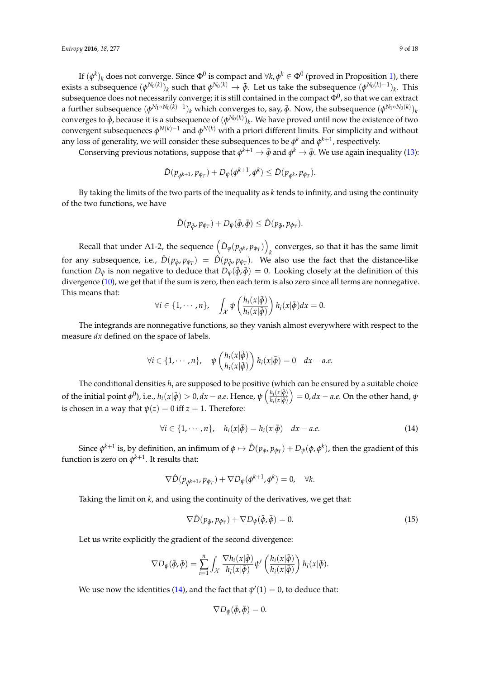If  $(\phi^k)_k$  does not converge. Since  $\Phi^0$  is compact and  $\forall k, \phi^k \in \Phi^0$  (proved in Proposition [1\)](#page-5-0), there exists a subsequence  $(\phi^{N_0(k)})_k$  such that  $\phi^{N_0(k)}\to\tilde\phi$ . Let us take the subsequence  $(\phi^{N_0(k)-1})_k$ . This subsequence does not necessarily converge; it is still contained in the compact  $\Phi^0$ , so that we can extract a further subsequence  $(\phi^{N_1\circ N_0(k)-1})_k$  which converges to, say,  $\bar\phi$ . Now, the subsequence  $(\phi^{N_1\circ N_0(k)})_k$ converges to  $\tilde{\phi}$ , because it is a subsequence of  $(\phi^{N_0(k)})_k$ . We have proved until now the existence of two convergent subsequences  $\phi^{N(k)-1}$  and  $\phi^{N(k)}$  with a priori different limits. For simplicity and without any loss of generality, we will consider these subsequences to be  $\phi^k$  and  $\phi^{k+1}$ , respectively.

Conserving previous notations, suppose that  $\phi^{k+1}\to\tilde\phi$  and  $\phi^k\to\bar\phi$ . We use again inequality [\(13\)](#page-7-2):

$$
\hat{D}(p_{\phi^{k+1}}, p_{\phi_T}) + D_{\psi}(\phi^{k+1}, \phi^k) \leq \hat{D}(p_{\phi^k}, p_{\phi_T}).
$$

By taking the limits of the two parts of the inequality as *k* tends to infinity, and using the continuity of the two functions, we have

$$
\hat{D}(p_{\tilde{\phi}}, p_{\phi_T}) + D_{\psi}(\tilde{\phi}, \bar{\phi}) \leq \hat{D}(p_{\bar{\phi}}, p_{\phi_T}).
$$

Recall that under A1-2, the sequence  $\left( \hat{D}_{\varphi}(p_{\phi^k}, p_{\phi_T}) \right)$ *k* converges, so that it has the same limit for any subsequence, i.e.,  $\hat{D}(p_{\tilde{\phi}},p_{\phi_T}) = \hat{D}(p_{\tilde{\phi}},p_{\phi_T})$ . We also use the fact that the distance-like function  $D_{\psi}$  is non negative to deduce that  $D_{\psi}(\tilde{\phi}, \bar{\phi}) = 0$ . Looking closely at the definition of this divergence [\(10\)](#page-4-2), we get that if the sum is zero, then each term is also zero since all terms are nonnegative. This means that:

$$
\forall i \in \{1, \cdots, n\}, \quad \int_{\mathcal{X}} \psi\left(\frac{h_i(x|\tilde{\phi})}{h_i(x|\bar{\phi})}\right) h_i(x|\bar{\phi}) dx = 0.
$$

The integrands are nonnegative functions, so they vanish almost everywhere with respect to the measure *dx* defined on the space of labels.

$$
\forall i \in \{1, \cdots, n\}, \quad \psi\left(\frac{h_i(x|\tilde{\phi})}{h_i(x|\tilde{\phi})}\right) h_i(x|\tilde{\phi}) = 0 \quad dx - a.e.
$$

The conditional densities  $h_i$  are supposed to be positive (which can be ensured by a suitable choice of the initial point  $\phi^0$ ), i.e.,  $h_i(x|\bar{\phi}) > 0$ ,  $dx - a.e$ . Hence,  $\psi\left(\frac{h_i(x|\bar{\phi})}{h_i(x|\bar{\phi})}\right)$  $\overline{h_i(x|\phi)}$  $\hat{\psi} = 0, dx - a.e.$  On the other hand,  $\psi$ is chosen in a way that  $\psi(z) = 0$  iff  $z = 1$ . Therefore:

<span id="page-8-0"></span>
$$
\forall i \in \{1, \cdots, n\}, \quad h_i(x|\tilde{\phi}) = h_i(x|\bar{\phi}) \quad dx - a.e. \tag{14}
$$

Since  $\phi^{k+1}$  is, by definition, an infimum of  $\phi\mapsto\hat{D}(p_\phi,p_{\phi_T})+D_\psi(\phi,\phi^k)$ , then the gradient of this function is zero on  $\phi^{k+1}$ . It results that:

$$
\nabla \hat{D}(p_{\phi^{k+1}}, p_{\phi_T}) + \nabla D_{\psi}(\phi^{k+1}, \phi^k) = 0, \quad \forall k.
$$

Taking the limit on *k*, and using the continuity of the derivatives, we get that:

<span id="page-8-1"></span>
$$
\nabla \hat{D}(p_{\tilde{\phi}}, p_{\phi_T}) + \nabla D_{\psi}(\tilde{\phi}, \bar{\phi}) = 0.
$$
\n(15)

Let us write explicitly the gradient of the second divergence:

$$
\nabla D_{\psi}(\tilde{\phi},\bar{\phi})=\sum_{i=1}^n\int_{\mathcal{X}}\frac{\nabla h_i(x|\tilde{\phi})}{h_i(x|\bar{\phi})}\psi'\left(\frac{h_i(x|\tilde{\phi})}{h_i(x|\bar{\phi})}\right)h_i(x|\bar{\phi}).
$$

We use now the identities [\(14\)](#page-8-0), and the fact that  $\psi'(1)=0$ , to deduce that:

$$
\nabla D_{\psi}(\tilde{\phi}, \bar{\phi}) = 0
$$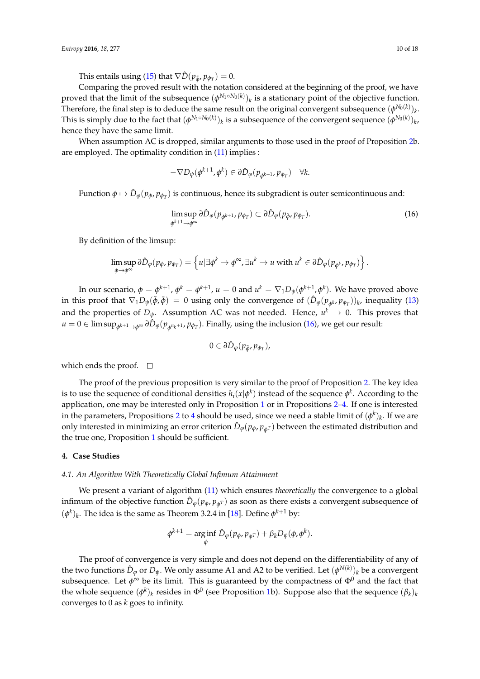This entails using [\(15\)](#page-8-1) that  $\nabla \hat{D}(p_{\tilde{\phi}}, p_{\phi_T}) = 0.$ 

Comparing the proved result with the notation considered at the beginning of the proof, we have proved that the limit of the subsequence  $(\phi^{N_1 \circ N_0(k)})_k$  is a stationary point of the objective function. Therefore, the final step is to deduce the same result on the original convergent subsequence  $(\phi^{N_0(k)})_k$ . This is simply due to the fact that  $(\phi^{N_1\circ N_0(k)})_k$  is a subsequence of the convergent sequence  $(\phi^{N_0(k)})_k$ , hence they have the same limit.

When assumption AC is dropped, similar arguments to those used in the proof of Proposition [2b](#page-5-1). are employed. The optimality condition in [\(11\)](#page-4-1) implies :

$$
-\nabla D_{\psi}(\phi^{k+1}, \phi^k) \in \partial \hat{D}_{\varphi}(p_{\phi^{k+1}}, p_{\phi_T}) \quad \forall k.
$$

Function  $\phi \mapsto \hat{D}_\phi(p_\phi, p_{\phi_T})$  is continuous, hence its subgradient is outer semicontinuous and:

<span id="page-9-1"></span>
$$
\limsup_{\phi^{k+1}\to\phi^{\infty}} \partial \hat{D}_{\varphi}(p_{\phi^{k+1}},p_{\phi_T}) \subset \partial \hat{D}_{\varphi}(p_{\tilde{\phi}},p_{\phi_T}). \tag{16}
$$

By definition of the limsup:

$$
\limsup_{\phi \to \phi^{\infty}} \partial \hat{D}_{\phi}(p_{\phi}, p_{\phi_{T}}) = \left\{ u | \exists \phi^{k} \to \phi^{\infty}, \exists u^{k} \to u \text{ with } u^{k} \in \partial \hat{D}_{\phi}(p_{\phi^{k}}, p_{\phi_{T}}) \right\}.
$$

In our scenario,  $\phi = \phi^{k+1}$ ,  $\phi^k = \phi^{k+1}$ ,  $u=0$  and  $u^k = \nabla_1 D_\psi(\phi^{k+1},\phi^k)$ . We have proved above in this proof that  $\nabla_1 D_\psi(\tilde{\phi}, \bar{\phi}) = 0$  using only the convergence of  $(\hat{D}_\phi(p_{\phi^k}, p_{\phi_T}))_k$ , inequality [\(13\)](#page-7-2) and the properties of  $D_{\psi}$ . Assumption AC was not needed. Hence,  $u^{k} \to 0$ . This proves that  $u=0\in\limsup_{\phi^{k+1}\to\phi^\infty}\partial\hat{D}_\varphi(p_{\phi^{n_k+1}},p_{\phi_T}).$  Finally, using the inclusion [\(16\)](#page-9-1), we get our result:

$$
0\in\partial\hat{D}_{\varphi}(p_{\tilde{\varphi}},p_{\phi_T}),
$$

which ends the proof.  $\square$ 

The proof of the previous proposition is very similar to the proof of Proposition [2.](#page-5-1) The key idea is to use the sequence of conditional densities  $h_i(x|\phi^k)$  instead of the sequence  $\phi^k$ . According to the application, one may be interested only in Proposition [1](#page-5-0) or in Propositions [2](#page-5-1)[–4.](#page-7-3) If one is interested in the parameters, Propositions [2](#page-5-1) to [4](#page-7-3) should be used, since we need a stable limit of  $(\phi^k)_k$ . If we are only interested in minimizing an error criterion  $\hat{D}_{\phi}(p_{\phi}, p_{\phi^T})$  between the estimated distribution and the true one, Proposition [1](#page-5-0) should be sufficient.

## <span id="page-9-0"></span>**4. Case Studies**

#### *4.1. An Algorithm With Theoretically Global Infimum Attainment*

We present a variant of algorithm [\(11\)](#page-4-1) which ensures *theoretically* the convergence to a global infimum of the objective function  $\hat{D}_{\varphi}(p_{\phi}, p_{\phi^T})$  as soon as there exists a convergent subsequence of  $(\phi^k)_k$ . The idea is the same as Theorem 3.2.4 in [\[18\]](#page-17-13). Define  $\phi^{k+1}$  by:

$$
\phi^{k+1} = \underset{\phi}{\arg\inf} \ \hat{D}_{\phi}(p_{\phi}, p_{\phi^T}) + \beta_k D_{\psi}(\phi, \phi^k).
$$

The proof of convergence is very simple and does not depend on the differentiability of any of the two functions  $\hat{D}_{\phi}$  or  $D_{\psi}$ . We only assume A1 and A2 to be verified. Let  $(\phi^{N(k)})_k$  be a convergent subsequence. Let  $\phi^{\infty}$  be its limit. This is guaranteed by the compactness of  $\Phi^0$  and the fact that the whole sequence  $(\phi^k)_k$  resides in  $\Phi^0$  (see Proposition [1b](#page-5-0)). Suppose also that the sequence  $(\beta_k)_k$ converges to 0 as *k* goes to infinity.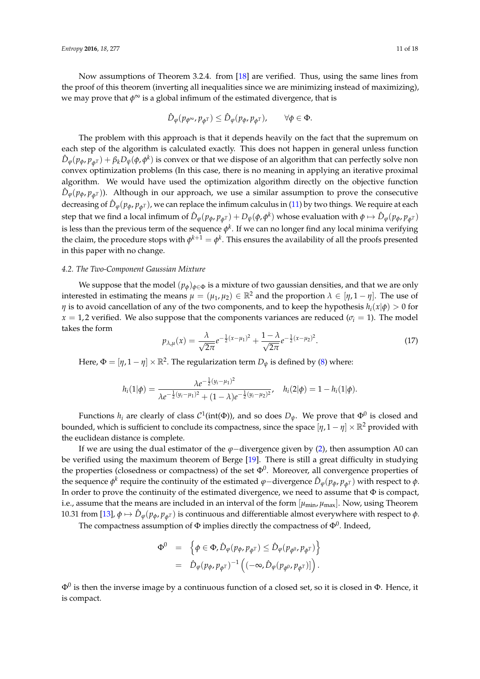Now assumptions of Theorem 3.2.4. from [\[18\]](#page-17-13) are verified. Thus, using the same lines from the proof of this theorem (inverting all inequalities since we are minimizing instead of maximizing), we may prove that  $\phi^{\infty}$  is a global infimum of the estimated divergence, that is

$$
\hat{D}_{\varphi}(p_{\phi^{\infty}},p_{\phi^T}) \leq \hat{D}_{\varphi}(p_{\phi},p_{\phi^T}), \qquad \forall \phi \in \Phi.
$$

The problem with this approach is that it depends heavily on the fact that the supremum on each step of the algorithm is calculated exactly. This does not happen in general unless function  $\hat{D}_{\varphi}(p_{\phi},p_{\phi^T})+\beta_k D_{\psi}(\phi,\phi^k)$  is convex or that we dispose of an algorithm that can perfectly solve non convex optimization problems (In this case, there is no meaning in applying an iterative proximal algorithm. We would have used the optimization algorithm directly on the objective function  $\hat{D}_{\varphi}(p_{\phi}, p_{\phi^T})$ ). Although in our approach, we use a similar assumption to prove the consecutive decreasing of  $\hat{D}_{\varphi}(p_{\phi},p_{\phi^T})$ , we can replace the infimum calculus in [\(11\)](#page-4-1) by two things. We require at each step that we find a local infimum of  $\hat D_\varphi(p_\phi,p_{\phi^T})+D_\psi(\phi,\phi^k)$  whose evaluation with  $\phi\mapsto \hat D_\varphi(p_\phi,p_{\phi^T})$ is less than the previous term of the sequence  $\phi^k$ . If we can no longer find any local minima verifying the claim, the procedure stops with  $\phi^{k+1}=\phi^k.$  This ensures the availability of all the proofs presented in this paper with no change.

#### <span id="page-10-0"></span>*4.2. The Two-Component Gaussian Mixture*

We suppose that the model  $(p_{\phi})_{\phi \in \Phi}$  is a mixture of two gaussian densities, and that we are only interested in estimating the means  $\mu = (\mu_1, \mu_2) \in \mathbb{R}^2$  and the proportion  $\lambda \in [\eta, 1 - \eta]$ . The use of *η* is to avoid cancellation of any of the two components, and to keep the hypothesis *hi*(*x*|*φ*) > 0 for  $x = 1, 2$  verified. We also suppose that the components variances are reduced ( $\sigma_i = 1$ ). The model takes the form

<span id="page-10-1"></span>
$$
p_{\lambda,\mu}(x) = \frac{\lambda}{\sqrt{2\pi}} e^{-\frac{1}{2}(x-\mu_1)^2} + \frac{1-\lambda}{\sqrt{2\pi}} e^{-\frac{1}{2}(x-\mu_2)^2}.
$$
 (17)

Here,  $\Phi = [\eta, 1 - \eta] \times \mathbb{R}^2$ . The regularization term  $D_{\psi}$  is defined by [\(8\)](#page-3-0) where:

$$
h_i(1|\phi) = \frac{\lambda e^{-\frac{1}{2}(y_i - \mu_1)^2}}{\lambda e^{-\frac{1}{2}(y_i - \mu_1)^2} + (1 - \lambda)e^{-\frac{1}{2}(y_i - \mu_2)^2}}, \quad h_i(2|\phi) = 1 - h_i(1|\phi).
$$

Functions  $h_i$  are clearly of class  $C^1(\text{int}(\Phi))$ , and so does  $D_\psi$ . We prove that  $\Phi^0$  is closed and bounded, which is sufficient to conclude its compactness, since the space  $[\eta, 1 - \eta] \times \mathbb{R}^2$  provided with the euclidean distance is complete.

If we are using the dual estimator of the *ϕ*−divergence given by [\(2\)](#page-1-1), then assumption A0 can be verified using the maximum theorem of Berge [\[19\]](#page-17-14). There is still a great difficulty in studying the properties (closedness or compactness) of the set  $\Phi^0$ . Moreover, all convergence properties of the sequence  $\phi^k$  require the continuity of the estimated  $\phi$ −divergence  $\hat{D}_\phi(p_\phi, p_{\phi^T})$  with respect to  $\phi$ . In order to prove the continuity of the estimated divergence, we need to assume that  $\Phi$  is compact, i.e., assume that the means are included in an interval of the form  $[\mu_{min}, \mu_{max}]$ . Now, using Theorem 10.31 from [\[13\]](#page-17-8),  $\phi \mapsto \hat{D}_{\phi}(p_{\phi}, p_{\phi^T})$  is continuous and differentiable almost everywhere with respect to *φ*.

The compactness assumption of  $\Phi$  implies directly the compactness of  $\Phi^0.$  Indeed,

$$
\Phi^0 = \left\{ \phi \in \Phi, \hat{D}_{\varphi}(p_{\phi}, p_{\phi^T}) \leq \hat{D}_{\varphi}(p_{\phi^0}, p_{\phi^T}) \right\}
$$
  
=  $\hat{D}_{\varphi}(p_{\phi}, p_{\phi^T})^{-1} ((-\infty, \hat{D}_{\varphi}(p_{\phi^0}, p_{\phi^T}))).$ 

 $\Phi^0$  is then the inverse image by a continuous function of a closed set, so it is closed in  $\Phi.$  Hence, it is compact.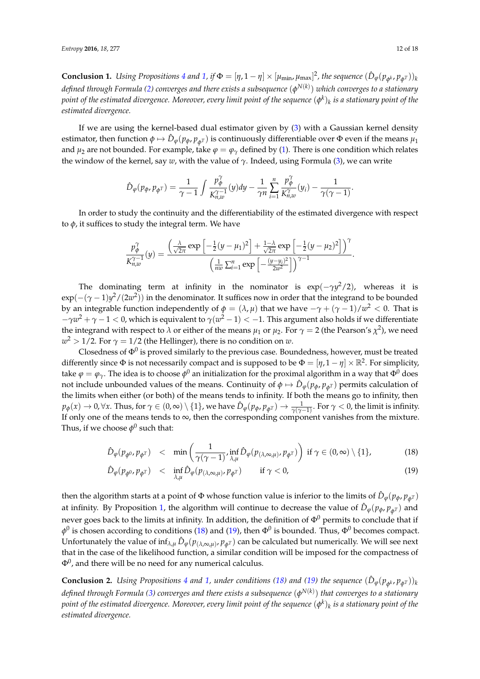**Conclusion 1.** Using Propositions [4](#page-7-3) and [1,](#page-5-0) if  $\Phi = [\eta, 1-\eta] \times [\mu_{\min}, \mu_{\max}]^2$ , the sequence  $(\hat{D}_{\varphi}(p_{\phi^k}, p_{\phi^T}))_k$ *defined through Formula [\(2\)](#page-1-1) converges and there exists a subsequence* (*φ N*(*k*) ) *which converges to a stationary point of the estimated divergence. Moreover, every limit point of the sequence* (*φ k* )*k is a stationary point of the estimated divergence.*

If we are using the kernel-based dual estimator given by [\(3\)](#page-1-2) with a Gaussian kernel density estimator, then function  $\phi \mapsto \hat{D}_{\phi}(p_{\phi}, p_{\phi^T})$  is continuously differentiable over  $\Phi$  even if the means  $\mu_1$ and  $\mu_2$  are not bounded. For example, take  $\varphi = \varphi_\gamma$  defined by [\(1\)](#page-1-3). There is one condition which relates the window of the kernel, say *w*, with the value of *γ*. Indeed, using Formula [\(3\)](#page-1-2), we can write

$$
\hat{D}_{\varphi}(p_{\phi},p_{\phi^T}) = \frac{1}{\gamma - 1} \int \frac{p_{\phi}^{\gamma}}{K_{n,w}^{\gamma - 1}}(y) dy - \frac{1}{\gamma n} \sum_{i=1}^n \frac{p_{\phi}^{\gamma}}{K_{n,w}^{\gamma}}(y_i) - \frac{1}{\gamma(\gamma - 1)}.
$$

In order to study the continuity and the differentiability of the estimated divergence with respect to  $φ$ , it suffices to study the integral term. We have

$$
\frac{p_{\phi}^{\gamma}}{K_{n,w}^{\gamma-1}}(y) = \frac{\left(\frac{\lambda}{\sqrt{2\pi}}\exp\left[-\frac{1}{2}(y-\mu_1)^2\right] + \frac{1-\lambda}{\sqrt{2\pi}}\exp\left[-\frac{1}{2}(y-\mu_2)^2\right]\right)^{\gamma}}{\left(\frac{1}{nw}\sum_{i=1}^{n}\exp\left[-\frac{(y-y_i)^2}{2w^2}\right]\right)^{\gamma-1}}.
$$

The dominating term at infinity in the nominator is  $\exp(-\gamma y^2/2)$ , whereas it is exp(−(*γ* − 1)*y* <sup>2</sup>/(2*w* 2 )) in the denominator. It suffices now in order that the integrand to be bounded by an integrable function independently of  $\phi=(\lambda,\mu)$  that we have  $-\gamma+(\gamma-1)/w^2 < 0.$  That is  $-\gamma w^2+\gamma-1 < 0$ , which is equivalent to  $\gamma(w^2-1)<-1$ . This argument also holds if we differentiate the integrand with respect to  $\lambda$  or either of the means  $\mu_1$  or  $\mu_2$ . For  $\gamma = 2$  (the Pearson's  $\chi^2$ ), we need  $w^2 > 1/2$ . For  $\gamma = 1/2$  (the Hellinger), there is no condition on  $w$ .

Closedness of  $\Phi^0$  is proved similarly to the previous case. Boundedness, however, must be treated differently since  $\Phi$  is not necessarily compact and is supposed to be  $\Phi = [\eta, 1 - \eta] \times \mathbb{R}^2$ . For simplicity, take  $\varphi=\varphi_\gamma.$  The idea is to choose  $\phi^0$  an initialization for the proximal algorithm in a way that  $\Phi^0$  does not include unbounded values of the means. Continuity of  $\phi \mapsto \hat{D}_{\phi}(p_{\phi}, p_{\phi^T})$  permits calculation of the limits when either (or both) of the means tends to infinity. If both the means go to infinity, then  $p_{\bm{\phi}}(x)\to 0$ ,  $\forall x$ . Thus, for  $\gamma\in (0,\infty)\setminus\{1\}$ , we have  $\hat{D}_{\bm{\phi}}(p_{\bm{\phi}},p_{\bm{\phi}^T})\to \frac{1}{\gamma(\gamma-1)}.$  For  $\gamma < 0$ , the limit is infinity. If only one of the means tends to  $\infty$ , then the corresponding component vanishes from the mixture. Thus, if we choose  $\phi^0$  such that:

<span id="page-11-0"></span>
$$
\hat{D}_{\varphi}(p_{\phi^0}, p_{\phi^T}) \quad < \quad \min\left(\frac{1}{\gamma(\gamma-1)}, \inf_{\lambda,\mu} \hat{D}_{\varphi}(p_{(\lambda,\infty,\mu)}, p_{\phi^T})\right) \text{ if } \gamma \in (0,\infty) \setminus \{1\},\tag{18}
$$

$$
\hat{D}_{\varphi}(p_{\phi^0}, p_{\phi^T}) \quad < \quad \inf_{\lambda,\mu} \hat{D}_{\varphi}(p_{(\lambda,\infty,\mu)}, p_{\phi^T}) \qquad \text{if } \gamma < 0,\tag{19}
$$

then the algorithm starts at a point of  $\Phi$  whose function value is inferior to the limits of  $\hat{D}_{\phi}(p_{\phi}, p_{\phi^T})$ at infinity. By Proposition [1,](#page-5-0) the algorithm will continue to decrease the value of  $\hat{D}_{\varphi}(p_{\phi}, p_{\phi^T})$  and never goes back to the limits at infinity. In addition, the definition of  $\Phi^0$  permits to conclude that if  $\phi^0$  is chosen according to conditions [\(18\)](#page-11-0) and [\(19\)](#page-11-0), then  $\Phi^0$  is bounded. Thus,  $\Phi^0$  becomes compact. Unfortunately the value of  $\inf_{\lambda,\mu} \hat{D}_{\varphi}(p_{(\lambda,\infty,\mu)},p_{\phi^T})$  can be calculated but numerically. We will see next that in the case of the likelihood function, a similar condition will be imposed for the compactness of  $\Phi^0$ , and there will be no need for any numerical calculus.

**Conclusion 2.** Using Propositions [4](#page-7-3) and [1,](#page-5-0) under conditions [\(18\)](#page-11-0) and [\(19\)](#page-11-0) the sequence  $(\hat{D}_{\varphi}(p_{\phi^k}, p_{\phi^T}))_k$ *defined through Formula [\(3\)](#page-1-2) converges and there exists a subsequence* (*φ N*(*k*) ) *that converges to a stationary point of the estimated divergence. Moreover, every limit point of the sequence* (*φ k* )*k is a stationary point of the estimated divergence.*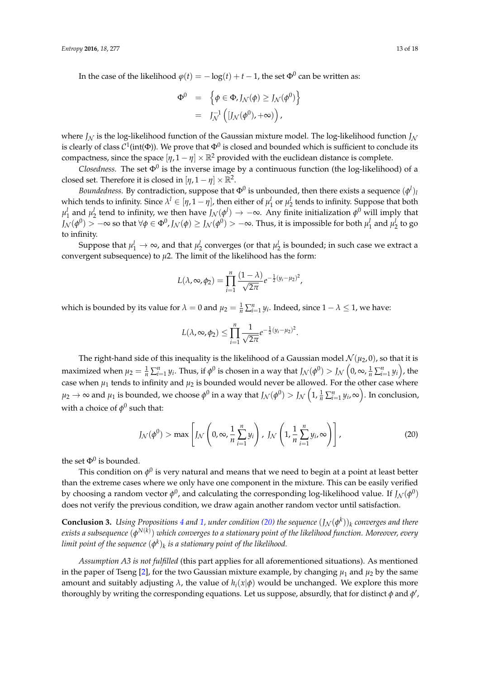In the case of the likelihood  $\varphi(t) = -\log(t) + t - 1$ , the set  $\Phi^0$  can be written as:

$$
\Phi^0 = \left\{ \phi \in \Phi, J_{\mathcal{N}}(\phi) \ge J_{\mathcal{N}}(\phi^0) \right\}
$$
  
=  $J_{\mathcal{N}}^{-1} \left( [J_{\mathcal{N}}(\phi^0), +\infty) \right),$ 

where  $J_N$  is the log-likelihood function of the Gaussian mixture model. The log-likelihood function  $J_N$ is clearly of class  $\mathcal{C}^1(\text{int}(\Phi))$ . We prove that  $\Phi^0$  is closed and bounded which is sufficient to conclude its compactness, since the space  $[\eta, 1 - \eta] \times \mathbb{R}^2$  provided with the euclidean distance is complete.

*Closedness.* The set  $\Phi^0$  is the inverse image by a continuous function (the log-likelihood) of a closed set. Therefore it is closed in  $[\eta, 1 - \eta] \times \mathbb{R}^2$ .

*Boundedness.* By contradiction, suppose that  $\Phi^0$  is unbounded, then there exists a sequence  $(\phi^l)_l$ which tends to infinity. Since  $\lambda^l \in [\eta, 1 - \eta]$ , then either of  $\mu_1^l$  or  $\mu_2^l$  tends to infinity. Suppose that both  $\mu_1^l$  and  $\mu_2^l$  tend to infinity, we then have  $J_N(\phi^l) \to -\infty$ . Any finite initialization  $\phi^0$  will imply that  $J_\mathcal{N}(\phi^0)>-\infty$  so that  $\forall \phi\in \Phi^0$ ,  $J_\mathcal{N}(\phi)\geq J_\mathcal{N}(\phi^0)>-\infty.$  Thus, it is impossible for both  $\mu^l_1$  and  $\mu^l_2$  to go to infinity.

Suppose that  $\mu_1^l\to\infty$ , and that  $\mu_2^l$  converges (or that  $\mu_2^l$  is bounded; in such case we extract a convergent subsequence) to  $\mu$ 2. The limit of the likelihood has the form:

$$
L(\lambda, \infty, \phi_2) = \prod_{i=1}^n \frac{(1-\lambda)}{\sqrt{2\pi}} e^{-\frac{1}{2}(y_i - \mu_2)^2},
$$

which is bounded by its value for  $\lambda = 0$  and  $\mu_2 = \frac{1}{n} \sum_{i=1}^n y_i$ . Indeed, since  $1 - \lambda \le 1$ , we have:

$$
L(\lambda, \infty, \phi_2) \le \prod_{i=1}^n \frac{1}{\sqrt{2\pi}} e^{-\frac{1}{2}(y_i - \mu_2)^2}
$$

The right-hand side of this inequality is the likelihood of a Gaussian model  $\mathcal{N}(\mu_2, 0)$ , so that it is maximized when  $\mu_2=\frac{1}{n}\sum_{i=1}^n y_i$ . Thus, if  $\phi^0$  is chosen in a way that  $J_\mathcal{N}(\phi^0)>J_\mathcal{N}\left(0,\infty,\frac{1}{n}\sum_{i=1}^n y_i\right)$ , the case when  $\mu_1$  tends to infinity and  $\mu_2$  is bounded would never be allowed. For the other case where  $\mu_2\to\infty$  and  $\mu_1$  is bounded, we choose  $\phi^0$  in a way that  $J_\mathcal{N}(\phi^0)>J_\mathcal{N}\left(1,\frac{1}{n}\sum_{i=1}^n y_i,\infty\right).$  In conclusion, with a choice of  $\phi^0$  such that:

<span id="page-12-0"></span>
$$
J_{\mathcal{N}}(\phi^0) > \max \left[ J_{\mathcal{N}}\left(0, \infty, \frac{1}{n} \sum_{i=1}^n y_i\right), J_{\mathcal{N}}\left(1, \frac{1}{n} \sum_{i=1}^n y_i, \infty\right) \right],
$$
 (20)

.

the set  $\Phi^0$  is bounded.

This condition on  $\phi^0$  is very natural and means that we need to begin at a point at least better than the extreme cases where we only have one component in the mixture. This can be easily verified by choosing a random vector  $\phi^0$ , and calculating the corresponding log-likelihood value. If  $J_\mathcal{N}(\phi^0)$ does not verify the previous condition, we draw again another random vector until satisfaction.

**Conclusion 3.** Using Propositions [4](#page-7-3) and [1,](#page-5-0) under condition [\(20\)](#page-12-0) the sequence  $(J_{\mathcal{N}}(\phi^k))_k$  converges and there *exists a subsequence* (*φ N*(*k*) ) *which converges to a stationary point of the likelihood function. Moreover, every*  $l$ imit point of the sequence  $(\phi^k)_k$  is a stationary point of the likelihood.

*Assumption A3 is not fulfilled* (this part applies for all aforementioned situations). As mentioned in the paper of Tseng [\[2\]](#page-16-1), for the two Gaussian mixture example, by changing  $\mu_1$  and  $\mu_2$  by the same amount and suitably adjusting  $\lambda$ , the value of  $h_i(x|\phi)$  would be unchanged. We explore this more thoroughly by writing the corresponding equations. Let us suppose, absurdly, that for distinct  $\phi$  and  $\phi'$ ,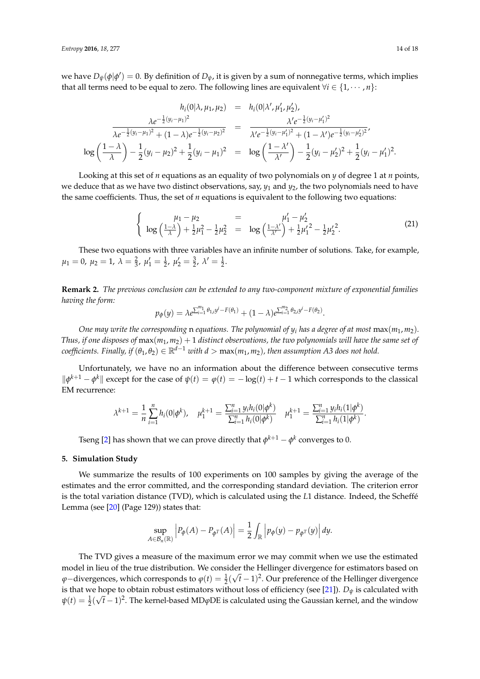we have  $D_{\psi}(\phi|\phi')=0$ . By definition of  $D_{\psi}$ , it is given by a sum of nonnegative terms, which implies that all terms need to be equal to zero. The following lines are equivalent  $\forall i \in \{1, \cdots, n\}$ :

$$
h_i(0|\lambda, \mu_1, \mu_2) = h_i(0|\lambda', \mu'_1, \mu'_2),
$$
  

$$
\frac{\lambda e^{-\frac{1}{2}(y_i - \mu_1)^2}}{\lambda e^{-\frac{1}{2}(y_i - \mu_1)^2} + (1 - \lambda)e^{-\frac{1}{2}(y_i - \mu_2)^2}} = \frac{\lambda' e^{-\frac{1}{2}(y_i - \mu'_1)^2}}{\lambda' e^{-\frac{1}{2}(y_i - \mu'_1)^2} + (1 - \lambda')e^{-\frac{1}{2}(y_i - \mu'_2)^2}},
$$
  

$$
\log\left(\frac{1 - \lambda}{\lambda}\right) - \frac{1}{2}(y_i - \mu_2)^2 + \frac{1}{2}(y_i - \mu_1)^2 = \log\left(\frac{1 - \lambda'}{\lambda'}\right) - \frac{1}{2}(y_i - \mu'_2)^2 + \frac{1}{2}(y_i - \mu'_1)^2.
$$

Looking at this set of *n* equations as an equality of two polynomials on *y* of degree 1 at *n* points, we deduce that as we have two distinct observations, say,  $y_1$  and  $y_2$ , the two polynomials need to have the same coefficients. Thus, the set of *n* equations is equivalent to the following two equations:

$$
\begin{cases}\n\mu_1 - \mu_2 = \mu'_1 - \mu'_2 \\
\log\left(\frac{1-\lambda}{\lambda}\right) + \frac{1}{2}\mu_1^2 - \frac{1}{2}\mu_2^2 = \log\left(\frac{1-\lambda'}{\lambda'}\right) + \frac{1}{2}\mu'_1^2 - \frac{1}{2}\mu'_2^2.\n\end{cases}
$$
\n(21)

These two equations with three variables have an infinite number of solutions. Take, for example,  $\mu_1 = 0, \ \mu_2 = 1, \ \lambda = \frac{2}{3}, \ \mu'_1 = \frac{1}{2}, \ \mu'_2 = \frac{3}{2}, \ \lambda' = \frac{1}{2}.$ 

**Remark 2.** *The previous conclusion can be extended to any two-component mixture of exponential families having the form:*

$$
p_{\phi}(y) = \lambda e^{\sum_{i=1}^{m_1} \theta_{1,i} y^i - F(\theta_1)} + (1 - \lambda) e^{\sum_{i=1}^{m_2} \theta_{2,i} y^i - F(\theta_2)}.
$$

*One may write the corresponding* n *equations. The polynomial of*  $y_i$  *has a degree of at most*  $max(m_1, m_2)$ *. Thus, if one disposes of*  $max(m_1, m_2) + 1$  *distinct observations, the two polynomials will have the same set of coefficients. Finally, if*  $(\theta_1, \theta_2) \in \mathbb{R}^{d-1}$  *with d* > max $(m_1, m_2)$ *, then assumption A3 does not hold.* 

Unfortunately, we have no an information about the difference between consecutive terms  $\|\phi^{k+1} - \phi^k\|$  except for the case of  $\psi(t) = \phi(t) = -\log(t) + t - 1$  which corresponds to the classical EM recurrence:

$$
\lambda^{k+1} = \frac{1}{n} \sum_{i=1}^{n} h_i(0 | \phi^k), \quad \mu_1^{k+1} = \frac{\sum_{i=1}^{n} y_i h_i(0 | \phi^k)}{\sum_{i=1}^{n} h_i(0 | \phi^k)} \quad \mu_1^{k+1} = \frac{\sum_{i=1}^{n} y_i h_i(1 | \phi^k)}{\sum_{i=1}^{n} h_i(1 | \phi^k)}.
$$

Tseng [\[2\]](#page-16-1) has shown that we can prove directly that  $\phi^{k+1} - \phi^k$  converges to 0.

#### <span id="page-13-0"></span>**5. Simulation Study**

We summarize the results of 100 experiments on 100 samples by giving the average of the estimates and the error committed, and the corresponding standard deviation. The criterion error is the total variation distance (TVD), which is calculated using the *L*1 distance. Indeed, the Scheffé Lemma (see [\[20\]](#page-17-15) (Page 129)) states that:

$$
\sup_{A\in\mathcal{B}_n(\mathbb{R})}\left|P_{\phi}(A)-P_{\phi^T}(A)\right|=\frac{1}{2}\int_{\mathbb{R}}\left|p_{\phi}(y)-p_{\phi^T}(y)\right|dy.
$$

The TVD gives a measure of the maximum error we may commit when we use the estimated model in lieu of the true distribution. We consider the Hellinger divergence for estimators based on  $\varphi$ −divergences, which corresponds to  $\varphi(t) = \frac{1}{2}(\sqrt{t}-1)^2$ . Our preference of the Hellinger divergence is that we hope to obtain robust estimators without loss of efficiency (see [\[21\]](#page-17-16)).  $D_{\psi}$  is calculated with  $\psi(t) = \frac{1}{2}(\sqrt{t}-1)^2$ . The kernel-based MD $\varphi$ DE is calculated using the Gaussian kernel, and the window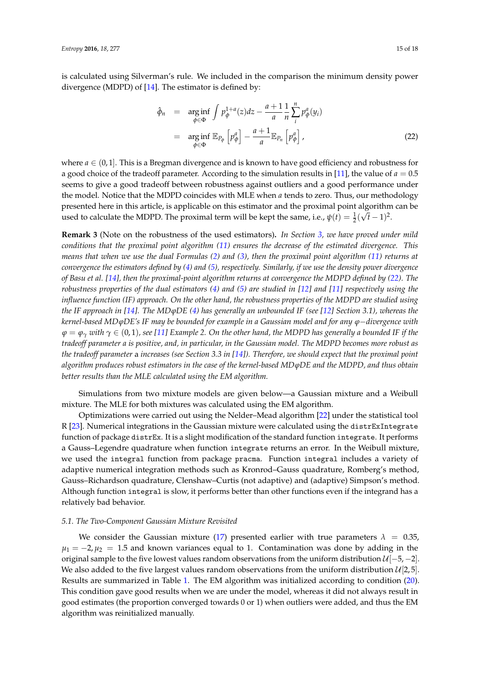is calculated using Silverman's rule. We included in the comparison the minimum density power divergence (MDPD) of [\[14\]](#page-17-9). The estimator is defined by:

<span id="page-14-0"></span>
$$
\hat{\phi}_n = \underset{\phi \in \Phi}{\arg \inf} \int p_{\phi}^{1+a}(z) dz - \frac{a+1}{a} \frac{1}{n} \sum_{i}^{n} p_{\phi}^a(y_i)
$$
\n
$$
= \underset{\phi \in \Phi}{\arg \inf} \mathbb{E}_{P_{\phi}} \left[ p_{\phi}^a \right] - \frac{a+1}{a} \mathbb{E}_{P_n} \left[ p_{\phi}^a \right], \tag{22}
$$

where  $a \in (0,1]$ . This is a Bregman divergence and is known to have good efficiency and robustness for a good choice of the tradeoff parameter. According to the simulation results in [\[11\]](#page-17-6), the value of  $a = 0.5$ seems to give a good tradeoff between robustness against outliers and a good performance under the model. Notice that the MDPD coincides with MLE when *a* tends to zero. Thus, our methodology presented here in this article, is applicable on this estimator and the proximal point algorithm can be used to calculate the MDPD. The proximal term will be kept the same, i.e.,  $\psi(t) = \frac{1}{2}(\sqrt{t} - 1)^2$ .

**Remark 3** (Note on the robustness of the used estimators)**.** *In Section [3,](#page-4-0) we have proved under mild conditions that the proximal point algorithm [\(11\)](#page-4-1) ensures the decrease of the estimated divergence. This means that when we use the dual Formulas [\(2\)](#page-1-1) and [\(3\)](#page-1-2), then the proximal point algorithm [\(11\)](#page-4-1) returns at convergence the estimators defined by [\(4\)](#page-1-0) and [\(5\)](#page-1-0), respectively. Similarly, if we use the density power divergence of Basu et al. [\[14\]](#page-17-9), then the proximal-point algorithm returns at convergence the MDPD defined by [\(22\)](#page-14-0). The robustness properties of the dual estimators [\(4\)](#page-1-0) and [\(5\)](#page-1-0) are studied in [\[12\]](#page-17-7) and [\[11\]](#page-17-6) respectively using the influence function (IF) approach. On the other hand, the robustness properties of the MDPD are studied using the IF approach in [\[14\]](#page-17-9). The MDϕDE [\(4\)](#page-1-0) has generally an unbounded IF (see [\[12\]](#page-17-7) Section 3.1), whereas the kernel-based MDϕDE's IF may be bounded for example in a Gaussian model and for any ϕ*−*divergence with ϕ* = *ϕ<sup>γ</sup> with γ* ∈ (0, 1)*, see [\[11\]](#page-17-6) Example 2. On the other hand, the MDPD has generally a bounded IF if the tradeoff parameter a is positive, and, in particular, in the Gaussian model. The MDPD becomes more robust as the tradeoff parameter* a *increases (see Section 3.3 in [\[14\]](#page-17-9)). Therefore, we should expect that the proximal point algorithm produces robust estimators in the case of the kernel-based MDϕDE and the MDPD, and thus obtain better results than the MLE calculated using the EM algorithm.*

Simulations from two mixture models are given below—a Gaussian mixture and a Weibull mixture. The MLE for both mixtures was calculated using the EM algorithm.

Optimizations were carried out using the Nelder–Mead algorithm [\[22\]](#page-17-17) under the statistical tool R [\[23\]](#page-17-18). Numerical integrations in the Gaussian mixture were calculated using the distrExIntegrate function of package distrEx. It is a slight modification of the standard function integrate. It performs a Gauss–Legendre quadrature when function integrate returns an error. In the Weibull mixture, we used the integral function from package pracma. Function integral includes a variety of adaptive numerical integration methods such as Kronrod–Gauss quadrature, Romberg's method, Gauss–Richardson quadrature, Clenshaw–Curtis (not adaptive) and (adaptive) Simpson's method. Although function integral is slow, it performs better than other functions even if the integrand has a relatively bad behavior.

#### *5.1. The Two-Component Gaussian Mixture Revisited*

We consider the Gaussian mixture [\(17\)](#page-10-1) presented earlier with true parameters  $\lambda = 0.35$ ,  $\mu_1 = -2$ ,  $\mu_2 = 1.5$  and known variances equal to 1. Contamination was done by adding in the original sample to the five lowest values random observations from the uniform distribution  $\mathcal{U}[-5,-2]$ . We also added to the five largest values random observations from the uniform distribution  $\mathcal{U}[2,5]$ . Results are summarized in Table [1.](#page-15-0) The EM algorithm was initialized according to condition [\(20\)](#page-12-0). This condition gave good results when we are under the model, whereas it did not always result in good estimates (the proportion converged towards 0 or 1) when outliers were added, and thus the EM algorithm was reinitialized manually.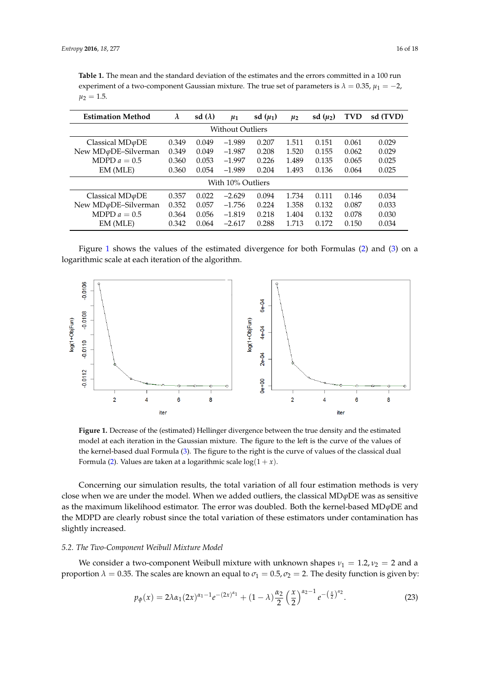<span id="page-15-0"></span>**Table 1.** The mean and the standard deviation of the estimates and the errors committed in a 100 run experiment of a two-component Gaussian mixture. The true set of parameters is  $\lambda = 0.35$ ,  $\mu_1 = -2$ ,  $\mu_2 = 1.5$ .

| <b>Estimation Method</b>      | $\lambda$ | sd $(\lambda)$ | $\mu_1$  | sd $(\mu_1)$ | $\mu_2$ | sd $(\mu_2)$ | <b>TVD</b> | sd (TVD) |  |  |  |
|-------------------------------|-----------|----------------|----------|--------------|---------|--------------|------------|----------|--|--|--|
| Without Outliers              |           |                |          |              |         |              |            |          |  |  |  |
| Classical $MD\varphi DE$      | 0.349     | 0.049          | $-1.989$ | 0.207        | 1.511   | 0.151        | 0.061      | 0.029    |  |  |  |
| New MD $\varphi$ DE-Silverman | 0.349     | 0.049          | $-1.987$ | 0.208        | 1.520   | 0.155        | 0.062      | 0.029    |  |  |  |
| MDPD $a = 0.5$                | 0.360     | 0.053          | $-1.997$ | 0.226        | 1.489   | 0.135        | 0.065      | 0.025    |  |  |  |
| EM (MLE)                      | 0.360     | 0.054          | $-1.989$ | 0.204        | 1.493   | 0.136        | 0.064      | 0.025    |  |  |  |
| With 10% Outliers             |           |                |          |              |         |              |            |          |  |  |  |
| Classical $MD\varphi DE$      | 0.357     | 0.022          | $-2.629$ | 0.094        | 1.734   | 0.111        | 0.146      | 0.034    |  |  |  |
| New MD $\varphi$ DE-Silverman | 0.352     | 0.057          | $-1.756$ | 0.224        | 1.358   | 0.132        | 0.087      | 0.033    |  |  |  |
| MDPD $a = 0.5$                | 0.364     | 0.056          | $-1.819$ | 0.218        | 1.404   | 0.132        | 0.078      | 0.030    |  |  |  |
| EM (MLE)                      | 0.342     | 0.064          | $-2.617$ | 0.288        | 1.713   | 0.172        | 0.150      | 0.034    |  |  |  |

Figure [1](#page-15-1) shows the values of the estimated divergence for both Formulas [\(2\)](#page-1-1) and [\(3\)](#page-1-2) on a logarithmic scale at each iteration of the algorithm.

<span id="page-15-1"></span>

**Figure 1.** Decrease of the (estimated) Hellinger divergence between the true density and the estimated model at each iteration in the Gaussian mixture. The figure to the left is the curve of the values of the kernel-based dual Formula [\(3\)](#page-1-2). The figure to the right is the curve of values of the classical dual Formula [\(2\)](#page-1-1). Values are taken at a logarithmic scale  $log(1 + x)$ .

Concerning our simulation results, the total variation of all four estimation methods is very close when we are under the model. When we added outliers, the classical MD*ϕ*DE was as sensitive as the maximum likelihood estimator. The error was doubled. Both the kernel-based MD*ϕ*DE and the MDPD are clearly robust since the total variation of these estimators under contamination has slightly increased.

#### *5.2. The Two-Component Weibull Mixture Model*

We consider a two-component Weibull mixture with unknown shapes  $v_1 = 1.2$ ,  $v_2 = 2$  and a proportion  $\lambda = 0.35$ . The scales are known an equal to  $\sigma_1 = 0.5$ ,  $\sigma_2 = 2$ . The desity function is given by:

$$
p_{\phi}(x) = 2\lambda \alpha_1 (2x)^{\alpha_1 - 1} e^{-(2x)^{\alpha_1}} + (1 - \lambda) \frac{\alpha_2}{2} \left(\frac{x}{2}\right)^{\alpha_2 - 1} e^{-\left(\frac{x}{2}\right)^{\alpha_2}}.
$$
 (23)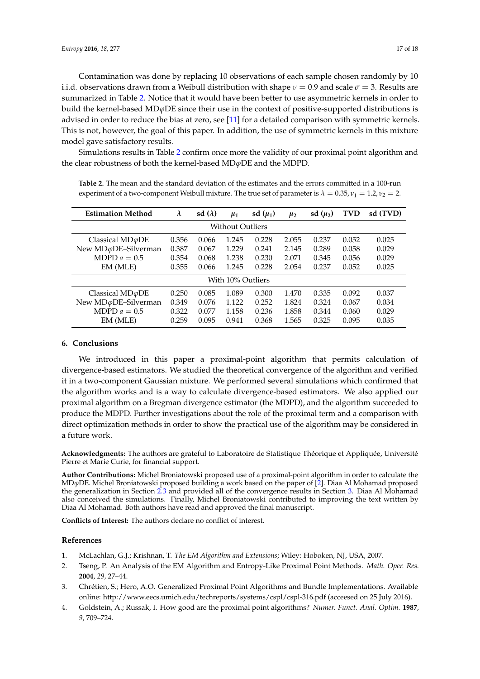Contamination was done by replacing 10 observations of each sample chosen randomly by 10 i.i.d. observations drawn from a Weibull distribution with shape  $\nu = 0.9$  and scale  $\sigma = 3$ . Results are summarized in Table [2.](#page-16-4) Notice that it would have been better to use asymmetric kernels in order to build the kernel-based MD*ϕ*DE since their use in the context of positive-supported distributions is advised in order to reduce the bias at zero, see [\[11\]](#page-17-6) for a detailed comparison with symmetric kernels. This is not, however, the goal of this paper. In addition, the use of symmetric kernels in this mixture model gave satisfactory results.

Simulations results in Table [2](#page-16-4) confirm once more the validity of our proximal point algorithm and the clear robustness of both the kernel-based MD*ϕ*DE and the MDPD.

| <b>Estimation Method</b>      | $\lambda$ | sd $(\lambda)$ | $\mu_1$ | sd $(\mu_1)$ | $\mu_2$ | sd $(\mu_2)$ | <b>TVD</b> | sd (TVD) |  |  |  |
|-------------------------------|-----------|----------------|---------|--------------|---------|--------------|------------|----------|--|--|--|
| <b>Without Outliers</b>       |           |                |         |              |         |              |            |          |  |  |  |
| Classical $MD\varphi DE$      | 0.356     | 0.066          | 1.245   | 0.228        | 2.055   | 0.237        | 0.052      | 0.025    |  |  |  |
| New MD $\varphi$ DE-Silverman | 0.387     | 0.067          | 1.229   | 0.241        | 2.145   | 0.289        | 0.058      | 0.029    |  |  |  |
| MDPD $a = 0.5$                | 0.354     | 0.068          | 1.238   | 0.230        | 2.071   | 0.345        | 0.056      | 0.029    |  |  |  |
| EM (MLE)                      | 0.355     | 0.066          | 1.245   | 0.228        | 2.054   | 0.237        | 0.052      | 0.025    |  |  |  |
| With 10% Outliers             |           |                |         |              |         |              |            |          |  |  |  |
| Classical $MD\varphi DE$      | 0.250     | 0.085          | 1.089   | 0.300        | 1.470   | 0.335        | 0.092      | 0.037    |  |  |  |
| New MD $\varphi$ DE-Silverman | 0.349     | 0.076          | 1.122   | 0.252        | 1.824   | 0.324        | 0.067      | 0.034    |  |  |  |
| MDPD $a = 0.5$                | 0.322     | 0.077          | 1.158   | 0.236        | 1.858   | 0.344        | 0.060      | 0.029    |  |  |  |
| EM (MLE)                      | 0.259     | 0.095          | 0.941   | 0.368        | 1.565   | 0.325        | 0.095      | 0.035    |  |  |  |

<span id="page-16-4"></span>**Table 2.** The mean and the standard deviation of the estimates and the errors committed in a 100-run experiment of a two-component Weibull mixture. The true set of parameter is  $\lambda = 0.35$ ,  $v_1 = 1.2$ ,  $v_2 = 2$ .

## **6. Conclusions**

We introduced in this paper a proximal-point algorithm that permits calculation of divergence-based estimators. We studied the theoretical convergence of the algorithm and verified it in a two-component Gaussian mixture. We performed several simulations which confirmed that the algorithm works and is a way to calculate divergence-based estimators. We also applied our proximal algorithm on a Bregman divergence estimator (the MDPD), and the algorithm succeeded to produce the MDPD. Further investigations about the role of the proximal term and a comparison with direct optimization methods in order to show the practical use of the algorithm may be considered in a future work.

**Acknowledgments:** The authors are grateful to Laboratoire de Statistique Théorique et Appliquée, Université Pierre et Marie Curie, for financial support.

**Author Contributions:** Michel Broniatowski proposed use of a proximal-point algorithm in order to calculate the MD*ϕ*DE. Michel Broniatowski proposed building a work based on the paper of [\[2\]](#page-16-1). Diaa Al Mohamad proposed the generalization in Section [2.3](#page-3-2) and provided all of the convergence results in Section [3.](#page-4-0) Diaa Al Mohamad also conceived the simulations. Finally, Michel Broniatowski contributed to improving the text written by Diaa Al Mohamad. Both authors have read and approved the final manuscript.

**Conflicts of Interest:** The authors declare no conflict of interest.

## **References**

- <span id="page-16-0"></span>1. McLachlan, G.J.; Krishnan, T. *The EM Algorithm and Extensions*; Wiley: Hoboken, NJ, USA, 2007.
- <span id="page-16-1"></span>2. Tseng, P. An Analysis of the EM Algorithm and Entropy-Like Proximal Point Methods. *Math. Oper. Res.* **2004**, *29*, 27–44.
- <span id="page-16-2"></span>3. Chrétien, S.; Hero, A.O. Generalized Proximal Point Algorithms and Bundle Implementations. Available online: http://www.eecs.umich.edu/techreports/systems/cspl/cspl-316.pdf (acceesed on 25 July 2016).
- <span id="page-16-3"></span>4. Goldstein, A.; Russak, I. How good are the proximal point algorithms? *Numer. Funct. Anal. Optim.* **1987**, *9*, 709–724.